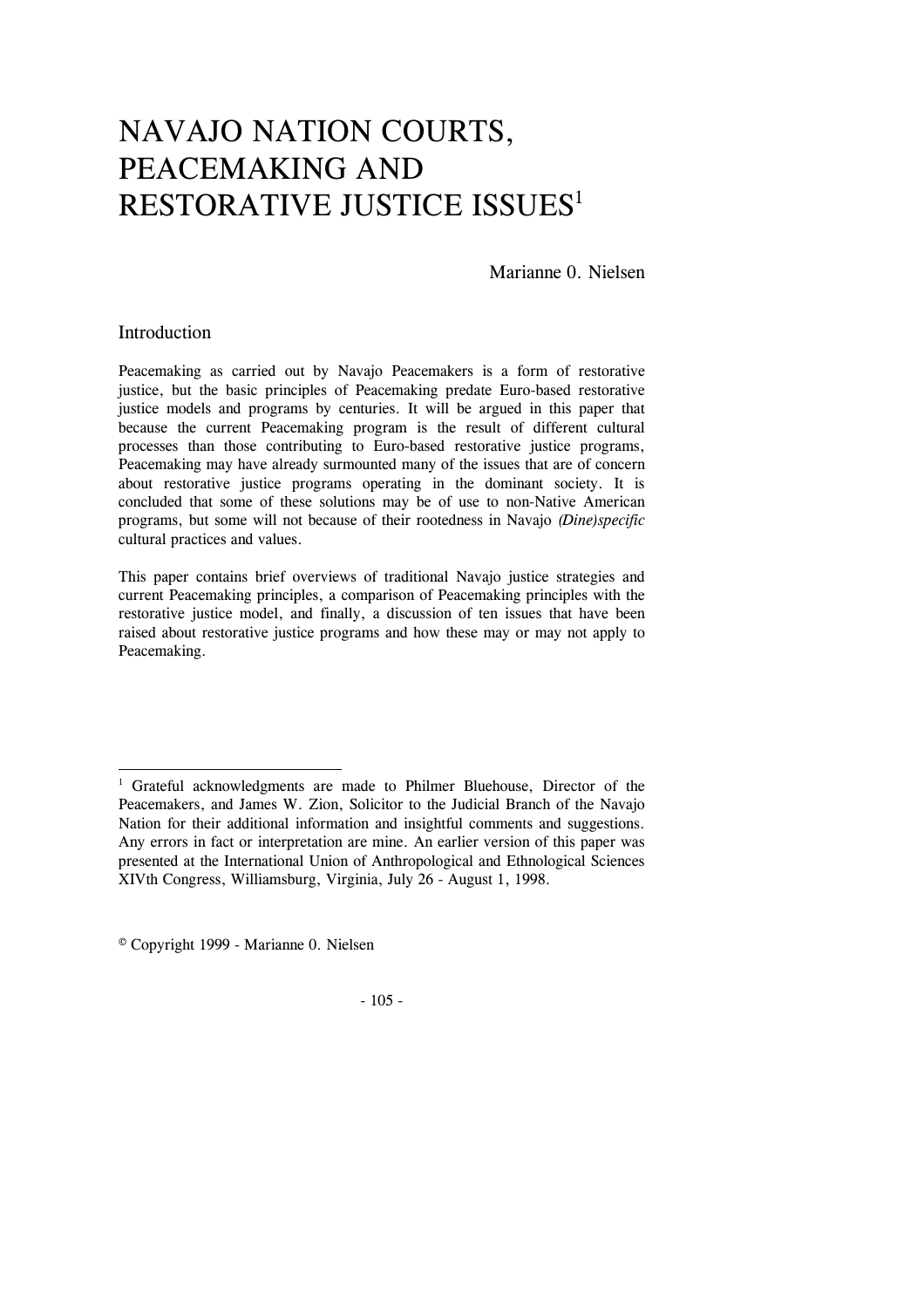# NAVAJO NATION COURTS, PEACEMAKING AND RESTORATIVE JUSTICE ISSUES<sup>1</sup>

Marianne 0. Nielsen

## Introduction

l

Peacemaking as carried out by Navajo Peacemakers is a form of restorative justice, but the basic principles of Peacemaking predate Euro-based restorative justice models and programs by centuries. It will be argued in this paper that because the current Peacemaking program is the result of different cultural processes than those contributing to Euro-based restorative justice programs, Peacemaking may have already surmounted many of the issues that are of concern about restorative justice programs operating in the dominant society. It is concluded that some of these solutions may be of use to non-Native American programs, but some will not because of their rootedness in Navajo *(Dine)specific*  cultural practices and values.

This paper contains brief overviews of traditional Navajo justice strategies and current Peacemaking principles, a comparison of Peacemaking principles with the restorative justice model, and finally, a discussion of ten issues that have been raised about restorative justice programs and how these may or may not apply to Peacemaking.

© Copyright 1999 - Marianne 0. Nielsen

- 105 -

<sup>&</sup>lt;sup>1</sup> Grateful acknowledgments are made to Philmer Bluehouse, Director of the Peacemakers, and James W. Zion, Solicitor to the Judicial Branch of the Navajo Nation for their additional information and insightful comments and suggestions. Any errors in fact or interpretation are mine. An earlier version of this paper was presented at the International Union of Anthropological and Ethnological Sciences XIVth Congress, Williamsburg, Virginia, July 26 - August 1, 1998.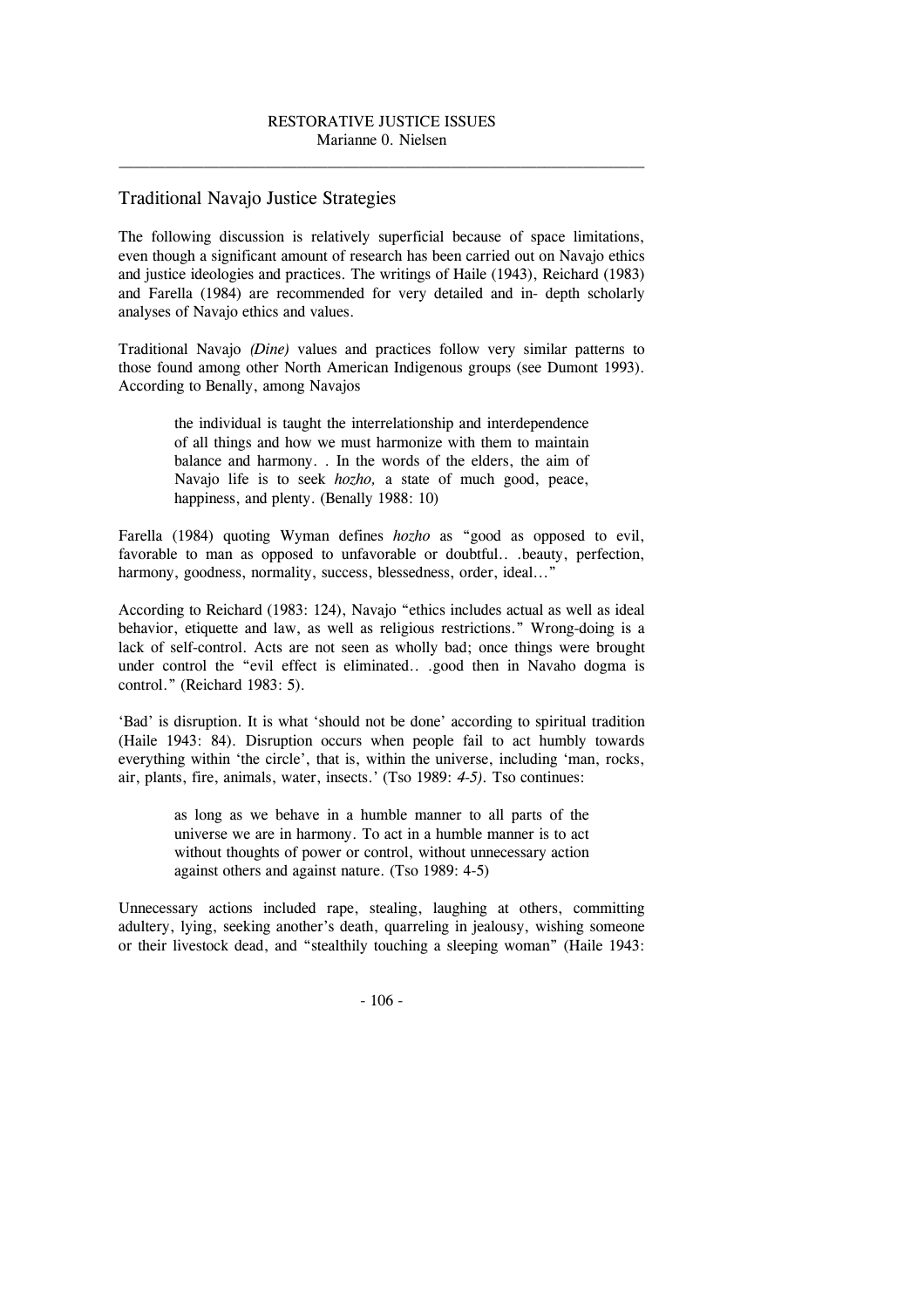## Traditional Navajo Justice Strategies

The following discussion is relatively superficial because of space limitations, even though a significant amount of research has been carried out on Navajo ethics and justice ideologies and practices. The writings of Haile (1943), Reichard (1983) and Farella (1984) are recommended for very detailed and in- depth scholarly analyses of Navajo ethics and values.

Traditional Navajo *(Dine)* values and practices follow very similar patterns to those found among other North American Indigenous groups (see Dumont 1993). According to Benally, among Navajos

> the individual is taught the interrelationship and interdependence of all things and how we must harmonize with them to maintain balance and harmony. . In the words of the elders, the aim of Navajo life is to seek *hozho,* a state of much good, peace, happiness, and plenty. (Benally 1988: 10)

Farella (1984) quoting Wyman defines *hozho* as "good as opposed to evil, favorable to man as opposed to unfavorable or doubtful.. .beauty, perfection, harmony, goodness, normality, success, blessedness, order, ideal..."

According to Reichard (1983: 124), Navajo "ethics includes actual as well as ideal behavior, etiquette and law, as well as religious restrictions." Wrong-doing is a lack of self-control. Acts are not seen as wholly bad; once things were brought under control the "evil effect is eliminated.. .good then in Navaho dogma is control." (Reichard 1983: 5).

'Bad' is disruption. It is what 'should not be done' according to spiritual tradition (Haile 1943: 84). Disruption occurs when people fail to act humbly towards everything within 'the circle', that is, within the universe, including 'man, rocks, air, plants, fire, animals, water, insects.' (Tso 1989: *4-5).* Tso continues:

> as long as we behave in a humble manner to all parts of the universe we are in harmony. To act in a humble manner is to act without thoughts of power or control, without unnecessary action against others and against nature. (Tso 1989: 4-5)

Unnecessary actions included rape, stealing, laughing at others, committing adultery, lying, seeking another's death, quarreling in jealousy, wishing someone or their livestock dead, and "stealthily touching a sleeping woman" (Haile 1943:

- 106 -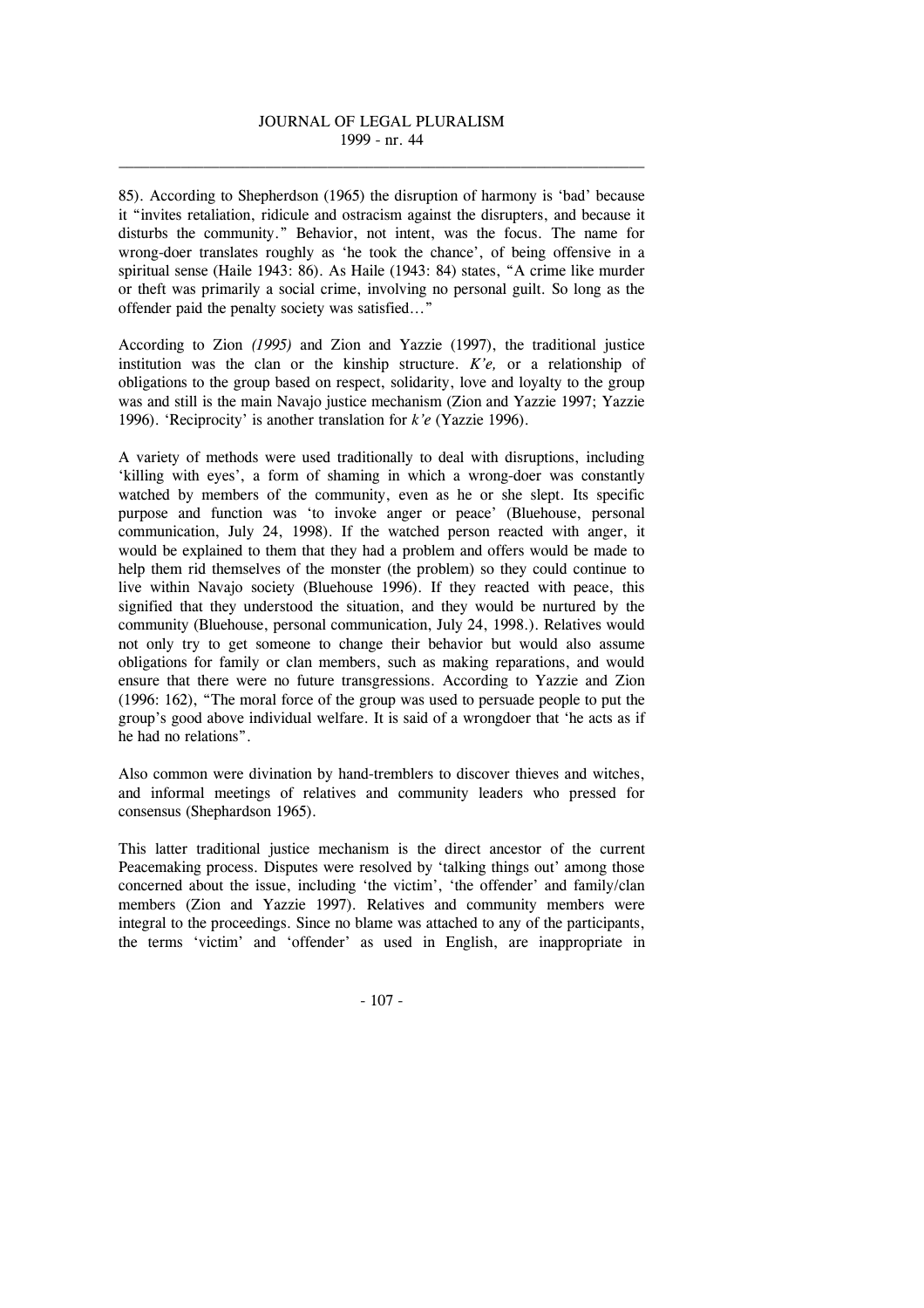85). According to Shepherdson (1965) the disruption of harmony is 'bad' because it "invites retaliation, ridicule and ostracism against the disrupters, and because it disturbs the community." Behavior, not intent, was the focus. The name for wrong-doer translates roughly as 'he took the chance', of being offensive in a spiritual sense (Haile 1943: 86). As Haile (1943: 84) states, "A crime like murder or theft was primarily a social crime, involving no personal guilt. So long as the offender paid the penalty society was satisfied..."

According to Zion *(1995)* and Zion and Yazzie (1997), the traditional justice institution was the clan or the kinship structure. *K'e,* or a relationship of obligations to the group based on respect, solidarity, love and loyalty to the group was and still is the main Navajo justice mechanism (Zion and Yazzie 1997; Yazzie 1996). 'Reciprocity' is another translation for *k'e* (Yazzie 1996).

A variety of methods were used traditionally to deal with disruptions, including 'killing with eyes', a form of shaming in which a wrong-doer was constantly watched by members of the community, even as he or she slept. Its specific purpose and function was 'to invoke anger or peace' (Bluehouse, personal communication, July 24, 1998). If the watched person reacted with anger, it would be explained to them that they had a problem and offers would be made to help them rid themselves of the monster (the problem) so they could continue to live within Navajo society (Bluehouse 1996). If they reacted with peace, this signified that they understood the situation, and they would be nurtured by the community (Bluehouse, personal communication, July 24, 1998.). Relatives would not only try to get someone to change their behavior but would also assume obligations for family or clan members, such as making reparations, and would ensure that there were no future transgressions. According to Yazzie and Zion (1996: 162), "The moral force of the group was used to persuade people to put the group's good above individual welfare. It is said of a wrongdoer that 'he acts as if he had no relations".

Also common were divination by hand-tremblers to discover thieves and witches, and informal meetings of relatives and community leaders who pressed for consensus (Shephardson 1965).

This latter traditional justice mechanism is the direct ancestor of the current Peacemaking process. Disputes were resolved by 'talking things out' among those concerned about the issue, including 'the victim', 'the offender' and family/clan members (Zion and Yazzie 1997). Relatives and community members were integral to the proceedings. Since no blame was attached to any of the participants, the terms 'victim' and 'offender' as used in English, are inappropriate in

- 107 -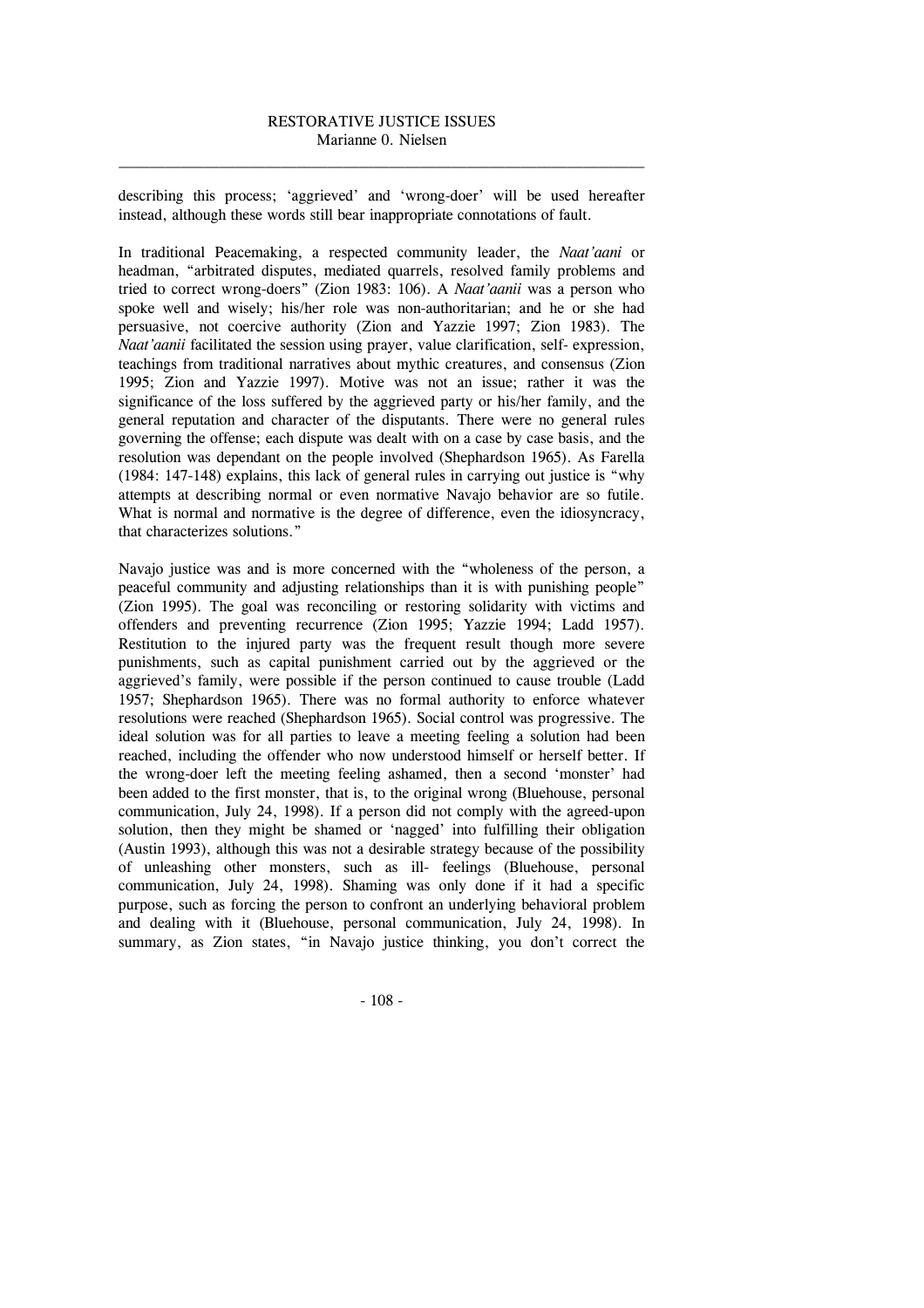describing this process; 'aggrieved' and 'wrong-doer' will be used hereafter instead, although these words still bear inappropriate connotations of fault.

In traditional Peacemaking, a respected community leader, the *Naat'aani* or headman, "arbitrated disputes, mediated quarrels, resolved family problems and tried to correct wrong-doers" (Zion 1983: 106). A *Naat'aanii* was a person who spoke well and wisely; his/her role was non-authoritarian; and he or she had persuasive, not coercive authority (Zion and Yazzie 1997; Zion 1983). The *Naat'aanii* facilitated the session using prayer, value clarification, self- expression, teachings from traditional narratives about mythic creatures, and consensus (Zion 1995; Zion and Yazzie 1997). Motive was not an issue; rather it was the significance of the loss suffered by the aggrieved party or his/her family, and the general reputation and character of the disputants. There were no general rules governing the offense; each dispute was dealt with on a case by case basis, and the resolution was dependant on the people involved (Shephardson 1965). As Farella (1984: 147-148) explains, this lack of general rules in carrying out justice is "why attempts at describing normal or even normative Navajo behavior are so futile. What is normal and normative is the degree of difference, even the idiosyncracy, that characterizes solutions."

Navajo justice was and is more concerned with the "wholeness of the person, a peaceful community and adjusting relationships than it is with punishing people" (Zion 1995). The goal was reconciling or restoring solidarity with victims and offenders and preventing recurrence (Zion 1995; Yazzie 1994; Ladd 1957). Restitution to the injured party was the frequent result though more severe punishments, such as capital punishment carried out by the aggrieved or the aggrieved's family, were possible if the person continued to cause trouble (Ladd 1957; Shephardson 1965). There was no formal authority to enforce whatever resolutions were reached (Shephardson 1965). Social control was progressive. The ideal solution was for all parties to leave a meeting feeling a solution had been reached, including the offender who now understood himself or herself better. If the wrong-doer left the meeting feeling ashamed, then a second 'monster' had been added to the first monster, that is, to the original wrong (Bluehouse, personal communication, July 24, 1998). If a person did not comply with the agreed-upon solution, then they might be shamed or 'nagged' into fulfilling their obligation (Austin 1993), although this was not a desirable strategy because of the possibility of unleashing other monsters, such as ill- feelings (Bluehouse, personal communication, July 24, 1998). Shaming was only done if it had a specific purpose, such as forcing the person to confront an underlying behavioral problem and dealing with it (Bluehouse, personal communication, July 24, 1998). In summary, as Zion states, "in Navajo justice thinking, you don't correct the

- 108 -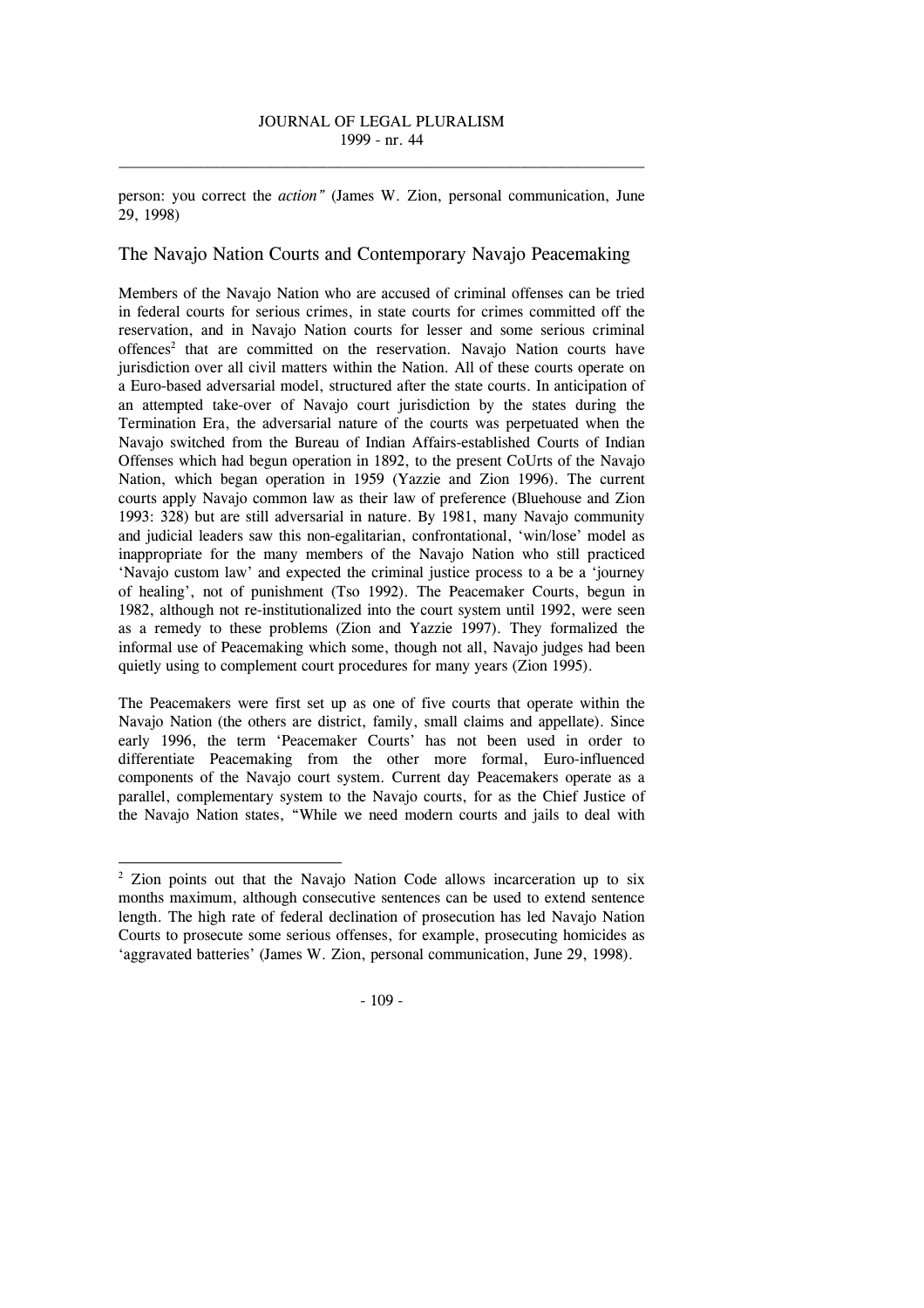person: you correct the *action"* (James W. Zion, personal communication, June 29, 1998)

## The Navajo Nation Courts and Contemporary Navajo Peacemaking

Members of the Navajo Nation who are accused of criminal offenses can be tried in federal courts for serious crimes, in state courts for crimes committed off the reservation, and in Navajo Nation courts for lesser and some serious criminal offences<sup>2</sup> that are committed on the reservation. Navajo Nation courts have jurisdiction over all civil matters within the Nation. All of these courts operate on a Euro-based adversarial model, structured after the state courts. In anticipation of an attempted take-over of Navajo court jurisdiction by the states during the Termination Era, the adversarial nature of the courts was perpetuated when the Navajo switched from the Bureau of Indian Affairs-established Courts of Indian Offenses which had begun operation in 1892, to the present CoUrts of the Navajo Nation, which began operation in 1959 (Yazzie and Zion 1996). The current courts apply Navajo common law as their law of preference (Bluehouse and Zion 1993: 328) but are still adversarial in nature. By 1981, many Navajo community and judicial leaders saw this non-egalitarian, confrontational, 'win/lose' model as inappropriate for the many members of the Navajo Nation who still practiced 'Navajo custom law' and expected the criminal justice process to a be a 'journey of healing', not of punishment (Tso 1992). The Peacemaker Courts, begun in 1982, although not re-institutionalized into the court system until 1992, were seen as a remedy to these problems (Zion and Yazzie 1997). They formalized the informal use of Peacemaking which some, though not all, Navajo judges had been quietly using to complement court procedures for many years (Zion 1995).

The Peacemakers were first set up as one of five courts that operate within the Navajo Nation (the others are district, family, small claims and appellate). Since early 1996, the term 'Peacemaker Courts' has not been used in order to differentiate Peacemaking from the other more formal, Euro-influenced components of the Navajo court system. Current day Peacemakers operate as a parallel, complementary system to the Navajo courts, for as the Chief Justice of the Navajo Nation states, "While we need modern courts and jails to deal with

l



 $2$  Zion points out that the Navajo Nation Code allows incarceration up to six months maximum, although consecutive sentences can be used to extend sentence length. The high rate of federal declination of prosecution has led Navajo Nation Courts to prosecute some serious offenses, for example, prosecuting homicides as 'aggravated batteries' (James W. Zion, personal communication, June 29, 1998).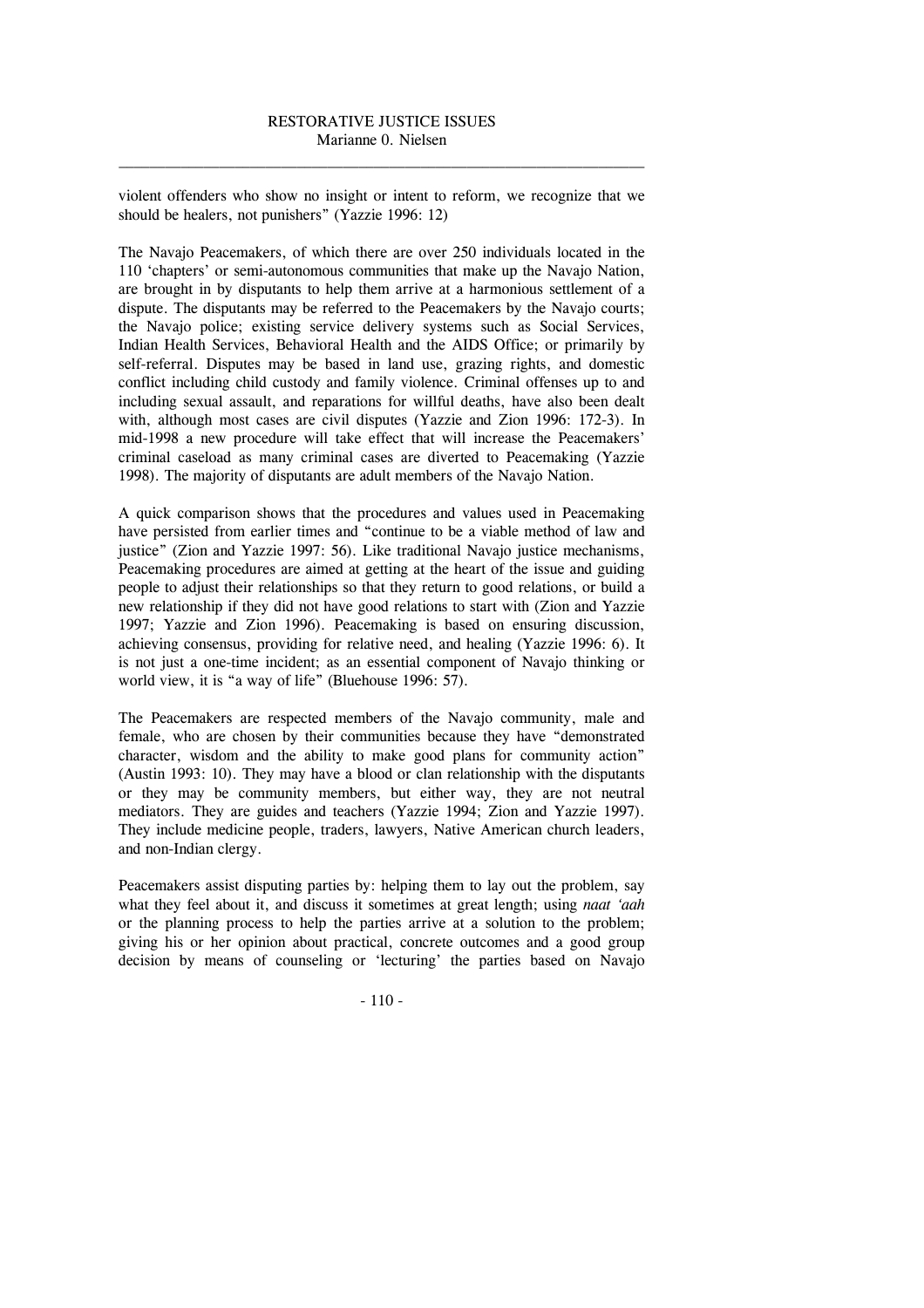violent offenders who show no insight or intent to reform, we recognize that we should be healers, not punishers" (Yazzie 1996: 12)

The Navajo Peacemakers, of which there are over 250 individuals located in the 110 'chapters' or semi-autonomous communities that make up the Navajo Nation, are brought in by disputants to help them arrive at a harmonious settlement of a dispute. The disputants may be referred to the Peacemakers by the Navajo courts; the Navajo police; existing service delivery systems such as Social Services, Indian Health Services, Behavioral Health and the AIDS Office; or primarily by self-referral. Disputes may be based in land use, grazing rights, and domestic conflict including child custody and family violence. Criminal offenses up to and including sexual assault, and reparations for willful deaths, have also been dealt with, although most cases are civil disputes (Yazzie and Zion 1996: 172-3). In mid-1998 a new procedure will take effect that will increase the Peacemakers' criminal caseload as many criminal cases are diverted to Peacemaking (Yazzie 1998). The majority of disputants are adult members of the Navajo Nation.

A quick comparison shows that the procedures and values used in Peacemaking have persisted from earlier times and "continue to be a viable method of law and justice" (Zion and Yazzie 1997: 56). Like traditional Navajo justice mechanisms, Peacemaking procedures are aimed at getting at the heart of the issue and guiding people to adjust their relationships so that they return to good relations, or build a new relationship if they did not have good relations to start with (Zion and Yazzie 1997; Yazzie and Zion 1996). Peacemaking is based on ensuring discussion, achieving consensus, providing for relative need, and healing (Yazzie 1996: 6). It is not just a one-time incident; as an essential component of Navajo thinking or world view, it is "a way of life" (Bluehouse 1996: 57).

The Peacemakers are respected members of the Navajo community, male and female, who are chosen by their communities because they have "demonstrated character, wisdom and the ability to make good plans for community action" (Austin 1993: 10). They may have a blood or clan relationship with the disputants or they may be community members, but either way, they are not neutral mediators. They are guides and teachers (Yazzie 1994; Zion and Yazzie 1997). They include medicine people, traders, lawyers, Native American church leaders, and non-Indian clergy.

Peacemakers assist disputing parties by: helping them to lay out the problem, say what they feel about it, and discuss it sometimes at great length; using *naat 'aah*  or the planning process to help the parties arrive at a solution to the problem; giving his or her opinion about practical, concrete outcomes and a good group decision by means of counseling or 'lecturing' the parties based on Navajo

- 110 -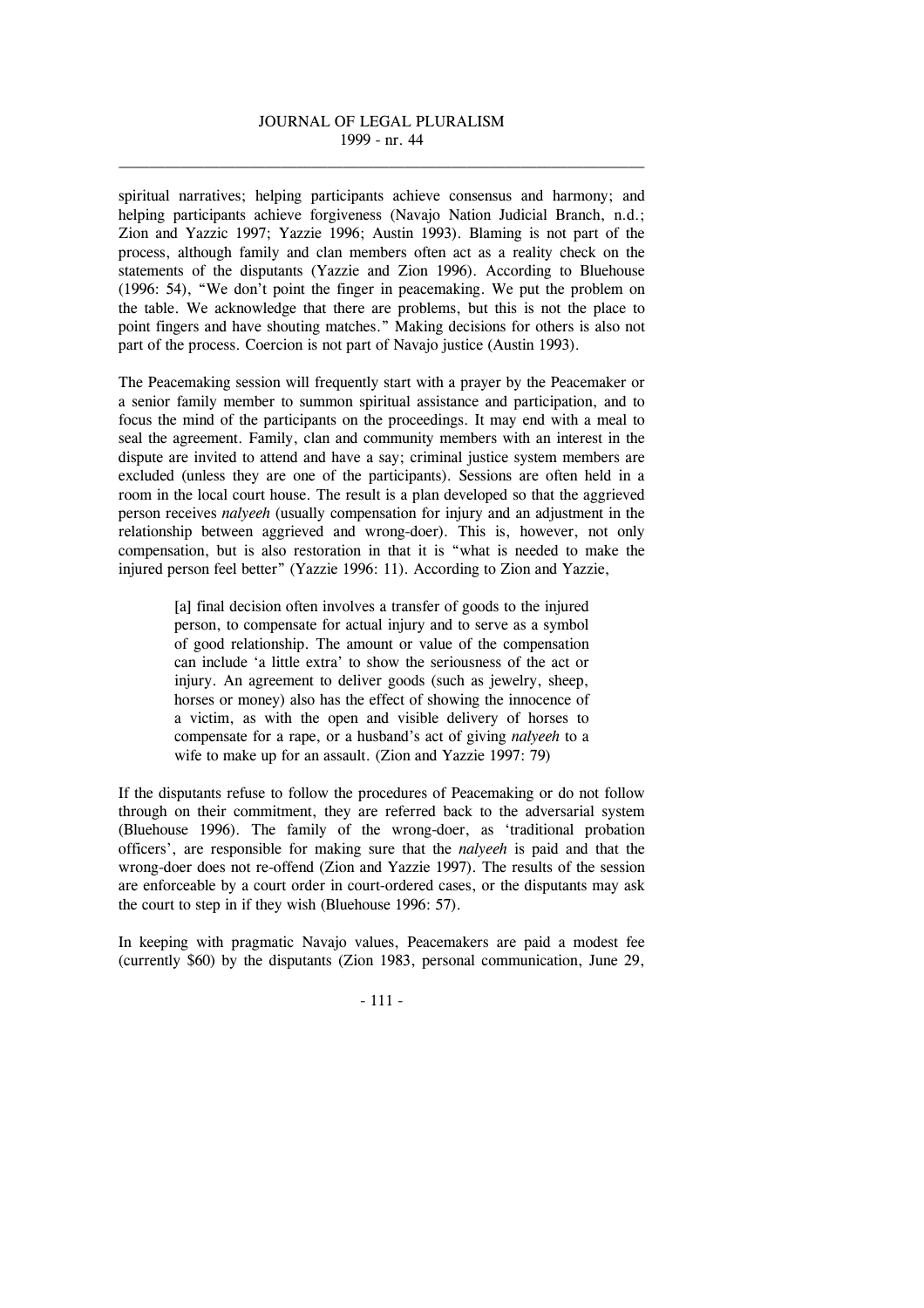spiritual narratives; helping participants achieve consensus and harmony; and helping participants achieve forgiveness (Navajo Nation Judicial Branch, n.d.; Zion and Yazzic 1997; Yazzie 1996; Austin 1993). Blaming is not part of the process, although family and clan members often act as a reality check on the statements of the disputants (Yazzie and Zion 1996). According to Bluehouse (1996: 54), "We don't point the finger in peacemaking. We put the problem on the table. We acknowledge that there are problems, but this is not the place to point fingers and have shouting matches." Making decisions for others is also not part of the process. Coercion is not part of Navajo justice (Austin 1993).

The Peacemaking session will frequently start with a prayer by the Peacemaker or a senior family member to summon spiritual assistance and participation, and to focus the mind of the participants on the proceedings. It may end with a meal to seal the agreement. Family, clan and community members with an interest in the dispute are invited to attend and have a say; criminal justice system members are excluded (unless they are one of the participants). Sessions are often held in a room in the local court house. The result is a plan developed so that the aggrieved person receives *nalyeeh* (usually compensation for injury and an adjustment in the relationship between aggrieved and wrong-doer). This is, however, not only compensation, but is also restoration in that it is "what is needed to make the injured person feel better" (Yazzie 1996: 11). According to Zion and Yazzie,

> [a] final decision often involves a transfer of goods to the injured person, to compensate for actual injury and to serve as a symbol of good relationship. The amount or value of the compensation can include 'a little extra' to show the seriousness of the act or injury. An agreement to deliver goods (such as jewelry, sheep, horses or money) also has the effect of showing the innocence of a victim, as with the open and visible delivery of horses to compensate for a rape, or a husband's act of giving *nalyeeh* to a wife to make up for an assault. (Zion and Yazzie 1997: 79)

If the disputants refuse to follow the procedures of Peacemaking or do not follow through on their commitment, they are referred back to the adversarial system (Bluehouse 1996). The family of the wrong-doer, as 'traditional probation officers', are responsible for making sure that the *nalyeeh* is paid and that the wrong-doer does not re-offend (Zion and Yazzie 1997). The results of the session are enforceable by a court order in court-ordered cases, or the disputants may ask the court to step in if they wish (Bluehouse 1996: 57).

In keeping with pragmatic Navajo values, Peacemakers are paid a modest fee (currently \$60) by the disputants (Zion 1983, personal communication, June 29,

- 111 -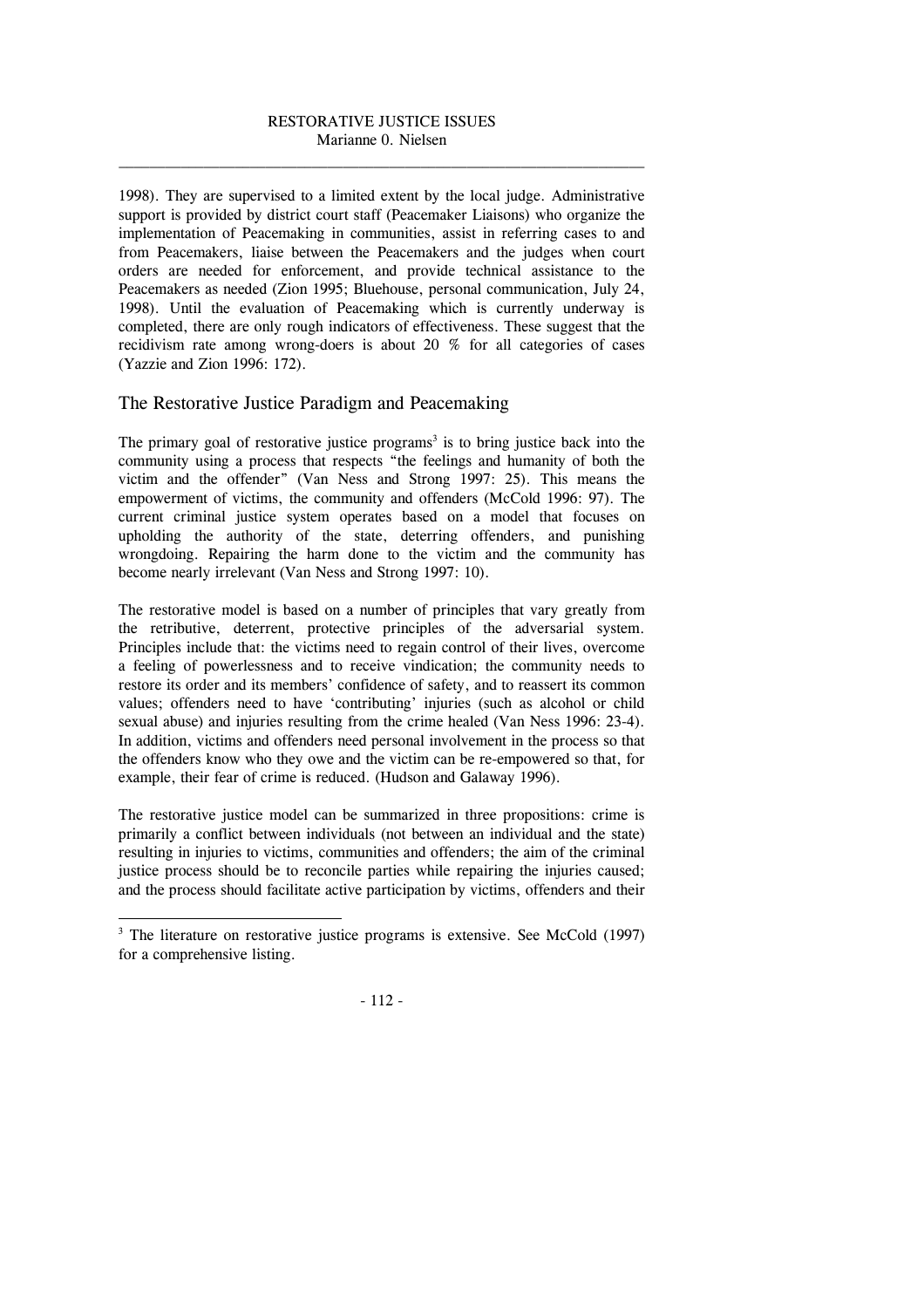1998). They are supervised to a limited extent by the local judge. Administrative support is provided by district court staff (Peacemaker Liaisons) who organize the implementation of Peacemaking in communities, assist in referring cases to and from Peacemakers, liaise between the Peacemakers and the judges when court orders are needed for enforcement, and provide technical assistance to the Peacemakers as needed (Zion 1995; Bluehouse, personal communication, July 24, 1998). Until the evaluation of Peacemaking which is currently underway is completed, there are only rough indicators of effectiveness. These suggest that the recidivism rate among wrong-doers is about 20 % for all categories of cases (Yazzie and Zion 1996: 172).

## The Restorative Justice Paradigm and Peacemaking

The primary goal of restorative justice programs<sup>3</sup> is to bring justice back into the community using a process that respects "the feelings and humanity of both the victim and the offender" (Van Ness and Strong 1997: 25). This means the empowerment of victims, the community and offenders (McCold 1996: 97). The current criminal justice system operates based on a model that focuses on upholding the authority of the state, deterring offenders, and punishing wrongdoing. Repairing the harm done to the victim and the community has become nearly irrelevant (Van Ness and Strong 1997: 10).

The restorative model is based on a number of principles that vary greatly from the retributive, deterrent, protective principles of the adversarial system. Principles include that: the victims need to regain control of their lives, overcome a feeling of powerlessness and to receive vindication; the community needs to restore its order and its members' confidence of safety, and to reassert its common values; offenders need to have 'contributing' injuries (such as alcohol or child sexual abuse) and injuries resulting from the crime healed (Van Ness 1996: 23-4). In addition, victims and offenders need personal involvement in the process so that the offenders know who they owe and the victim can be re-empowered so that, for example, their fear of crime is reduced. (Hudson and Galaway 1996).

The restorative justice model can be summarized in three propositions: crime is primarily a conflict between individuals (not between an individual and the state) resulting in injuries to victims, communities and offenders; the aim of the criminal justice process should be to reconcile parties while repairing the injuries caused; and the process should facilitate active participation by victims, offenders and their

l



<sup>&</sup>lt;sup>3</sup> The literature on restorative justice programs is extensive. See McCold (1997) for a comprehensive listing.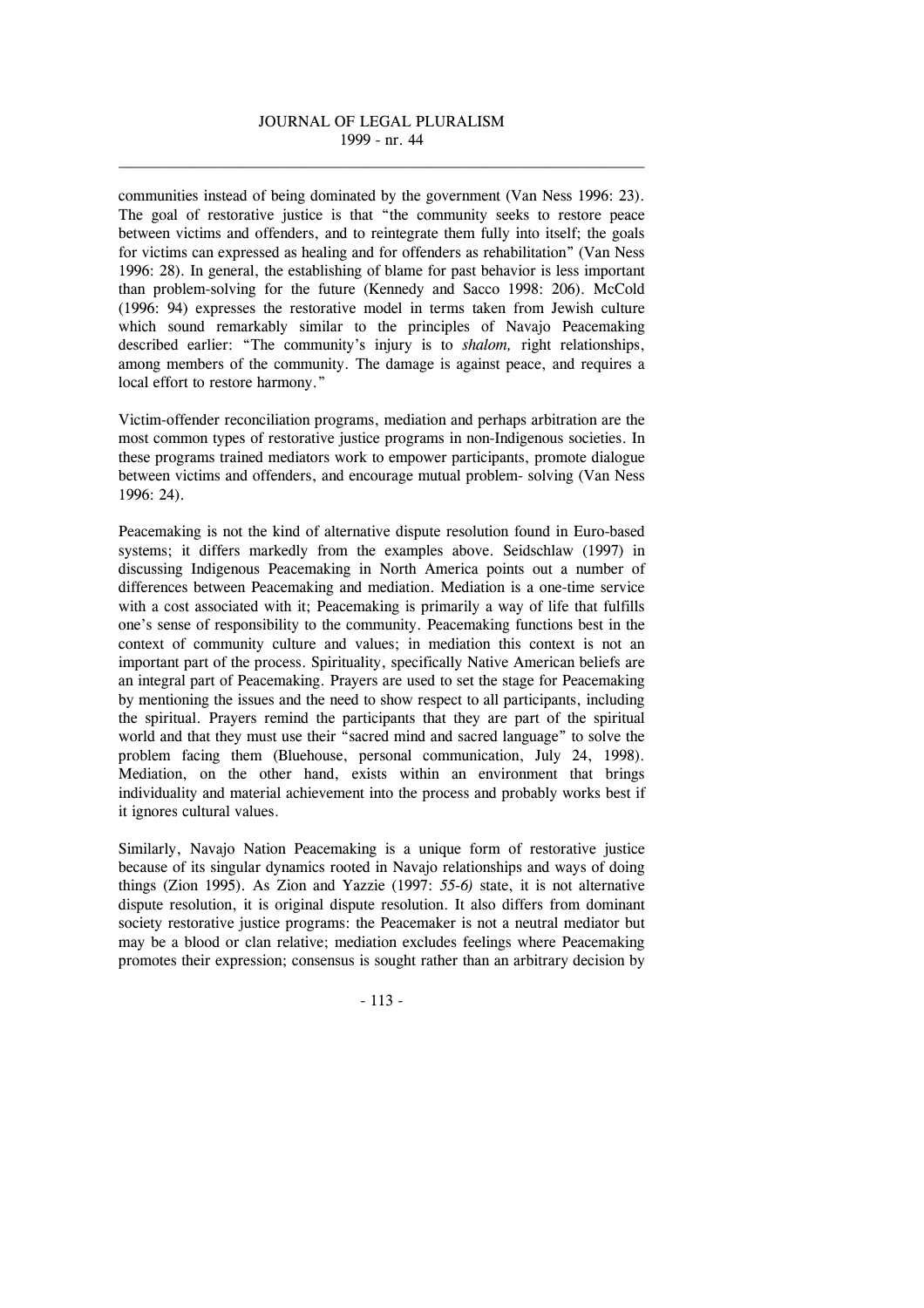communities instead of being dominated by the government (Van Ness 1996: 23). The goal of restorative justice is that "the community seeks to restore peace between victims and offenders, and to reintegrate them fully into itself; the goals for victims can expressed as healing and for offenders as rehabilitation" (Van Ness 1996: 28). In general, the establishing of blame for past behavior is less important than problem-solving for the future (Kennedy and Sacco 1998: 206). McCold (1996: 94) expresses the restorative model in terms taken from Jewish culture which sound remarkably similar to the principles of Navajo Peacemaking described earlier: "The community's injury is to *shalom,* right relationships, among members of the community. The damage is against peace, and requires a local effort to restore harmony."

Victim-offender reconciliation programs, mediation and perhaps arbitration are the most common types of restorative justice programs in non-Indigenous societies. In these programs trained mediators work to empower participants, promote dialogue between victims and offenders, and encourage mutual problem- solving (Van Ness 1996: 24).

Peacemaking is not the kind of alternative dispute resolution found in Euro-based systems; it differs markedly from the examples above. Seidschlaw (1997) in discussing Indigenous Peacemaking in North America points out a number of differences between Peacemaking and mediation. Mediation is a one-time service with a cost associated with it; Peacemaking is primarily a way of life that fulfills one's sense of responsibility to the community. Peacemaking functions best in the context of community culture and values; in mediation this context is not an important part of the process. Spirituality, specifically Native American beliefs are an integral part of Peacemaking. Prayers are used to set the stage for Peacemaking by mentioning the issues and the need to show respect to all participants, including the spiritual. Prayers remind the participants that they are part of the spiritual world and that they must use their "sacred mind and sacred language" to solve the problem facing them (Bluehouse, personal communication, July 24, 1998). Mediation, on the other hand, exists within an environment that brings individuality and material achievement into the process and probably works best if it ignores cultural values.

Similarly, Navajo Nation Peacemaking is a unique form of restorative justice because of its singular dynamics rooted in Navajo relationships and ways of doing things (Zion 1995). As Zion and Yazzie (1997: *55-6)* state, it is not alternative dispute resolution, it is original dispute resolution. It also differs from dominant society restorative justice programs: the Peacemaker is not a neutral mediator but may be a blood or clan relative; mediation excludes feelings where Peacemaking promotes their expression; consensus is sought rather than an arbitrary decision by

- 113 -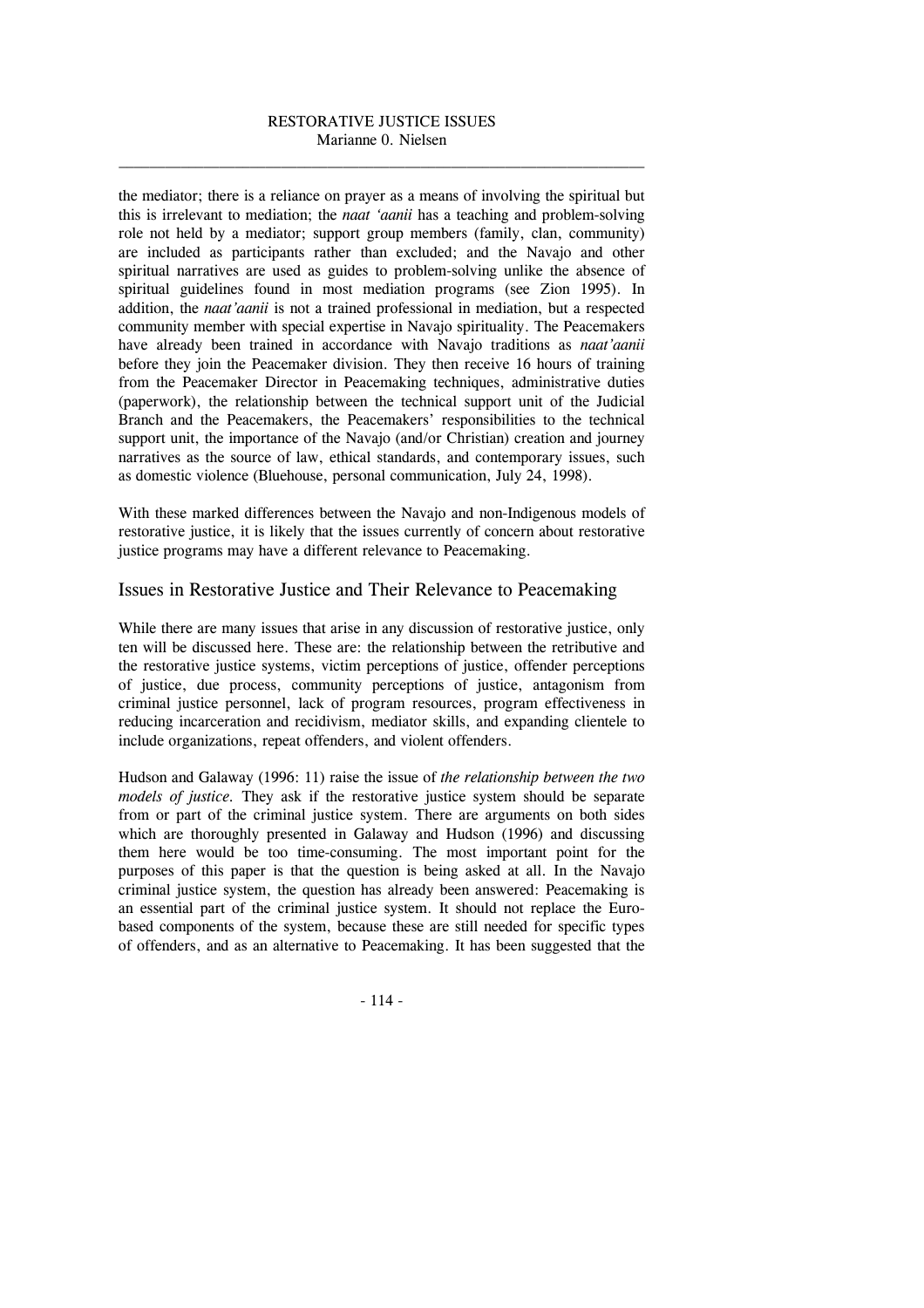the mediator; there is a reliance on prayer as a means of involving the spiritual but this is irrelevant to mediation; the *naat 'aanii* has a teaching and problem-solving role not held by a mediator; support group members (family, clan, community) are included as participants rather than excluded; and the Navajo and other spiritual narratives are used as guides to problem-solving unlike the absence of spiritual guidelines found in most mediation programs (see Zion 1995). In addition, the *naat'aanii* is not a trained professional in mediation, but a respected community member with special expertise in Navajo spirituality. The Peacemakers have already been trained in accordance with Navajo traditions as *naat'aanii*  before they join the Peacemaker division. They then receive 16 hours of training from the Peacemaker Director in Peacemaking techniques, administrative duties (paperwork), the relationship between the technical support unit of the Judicial Branch and the Peacemakers, the Peacemakers' responsibilities to the technical support unit, the importance of the Navajo (and/or Christian) creation and journey narratives as the source of law, ethical standards, and contemporary issues, such as domestic violence (Bluehouse, personal communication, July 24, 1998).

With these marked differences between the Navajo and non-Indigenous models of restorative justice, it is likely that the issues currently of concern about restorative justice programs may have a different relevance to Peacemaking.

### Issues in Restorative Justice and Their Relevance to Peacemaking

While there are many issues that arise in any discussion of restorative justice, only ten will be discussed here. These are: the relationship between the retributive and the restorative justice systems, victim perceptions of justice, offender perceptions of justice, due process, community perceptions of justice, antagonism from criminal justice personnel, lack of program resources, program effectiveness in reducing incarceration and recidivism, mediator skills, and expanding clientele to include organizations, repeat offenders, and violent offenders.

Hudson and Galaway (1996: 11) raise the issue of *the relationship between the two models of justice.* They ask if the restorative justice system should be separate from or part of the criminal justice system. There are arguments on both sides which are thoroughly presented in Galaway and Hudson (1996) and discussing them here would be too time-consuming. The most important point for the purposes of this paper is that the question is being asked at all. In the Navajo criminal justice system, the question has already been answered: Peacemaking is an essential part of the criminal justice system. It should not replace the Eurobased components of the system, because these are still needed for specific types of offenders, and as an alternative to Peacemaking. It has been suggested that the

- 114 -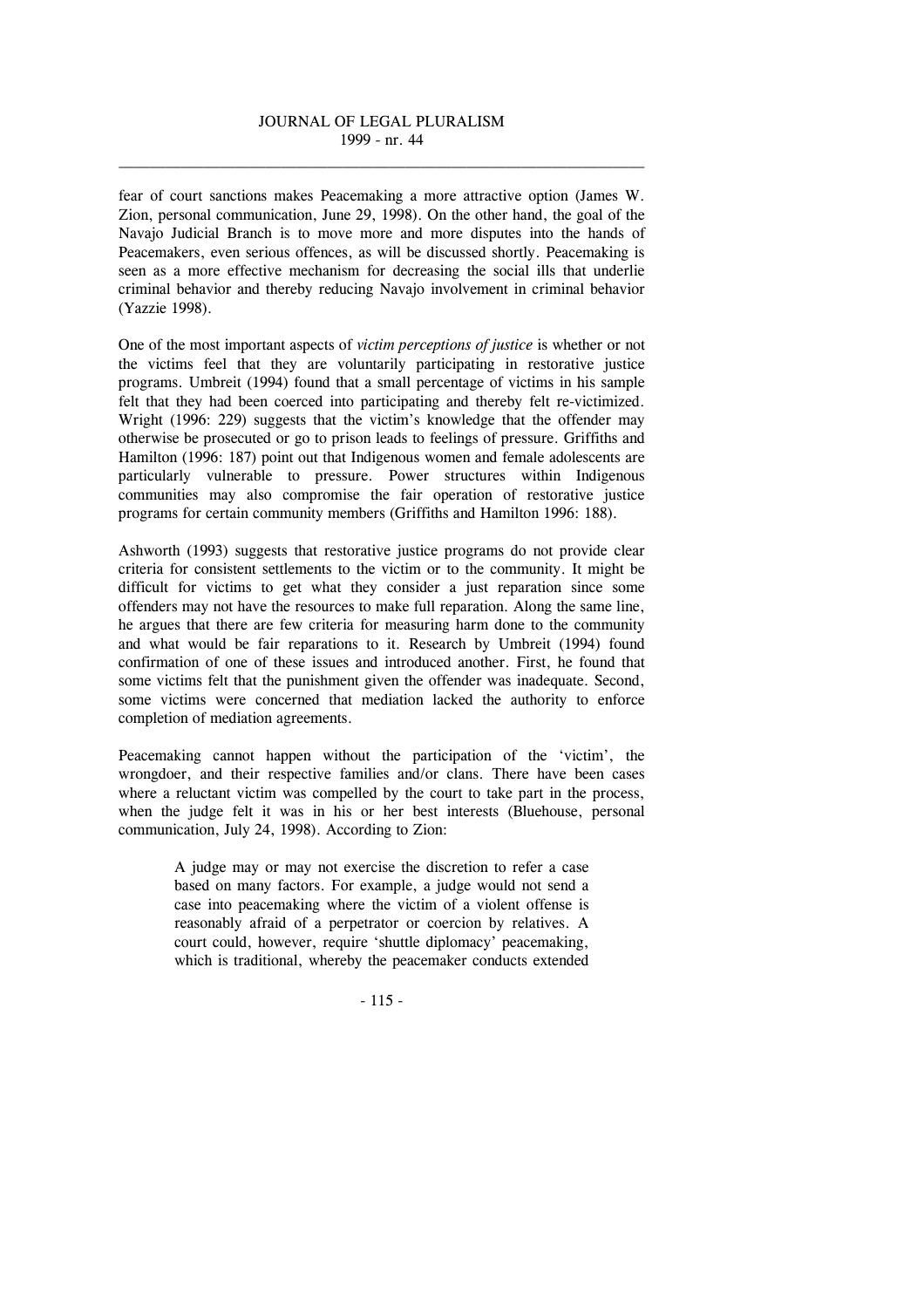fear of court sanctions makes Peacemaking a more attractive option (James W. Zion, personal communication, June 29, 1998). On the other hand, the goal of the Navajo Judicial Branch is to move more and more disputes into the hands of Peacemakers, even serious offences, as will be discussed shortly. Peacemaking is seen as a more effective mechanism for decreasing the social ills that underlie criminal behavior and thereby reducing Navajo involvement in criminal behavior (Yazzie 1998).

One of the most important aspects of *victim perceptions of justice* is whether or not the victims feel that they are voluntarily participating in restorative justice programs. Umbreit (1994) found that a small percentage of victims in his sample felt that they had been coerced into participating and thereby felt re-victimized. Wright (1996: 229) suggests that the victim's knowledge that the offender may otherwise be prosecuted or go to prison leads to feelings of pressure. Griffiths and Hamilton (1996: 187) point out that Indigenous women and female adolescents are particularly vulnerable to pressure. Power structures within Indigenous communities may also compromise the fair operation of restorative justice programs for certain community members (Griffiths and Hamilton 1996: 188).

Ashworth (1993) suggests that restorative justice programs do not provide clear criteria for consistent settlements to the victim or to the community. It might be difficult for victims to get what they consider a just reparation since some offenders may not have the resources to make full reparation. Along the same line, he argues that there are few criteria for measuring harm done to the community and what would be fair reparations to it. Research by Umbreit (1994) found confirmation of one of these issues and introduced another. First, he found that some victims felt that the punishment given the offender was inadequate. Second, some victims were concerned that mediation lacked the authority to enforce completion of mediation agreements.

Peacemaking cannot happen without the participation of the 'victim', the wrongdoer, and their respective families and/or clans. There have been cases where a reluctant victim was compelled by the court to take part in the process, when the judge felt it was in his or her best interests (Bluehouse, personal communication, July 24, 1998). According to Zion:

> A judge may or may not exercise the discretion to refer a case based on many factors. For example, a judge would not send a case into peacemaking where the victim of a violent offense is reasonably afraid of a perpetrator or coercion by relatives. A court could, however, require 'shuttle diplomacy' peacemaking, which is traditional, whereby the peacemaker conducts extended

> > - 115 -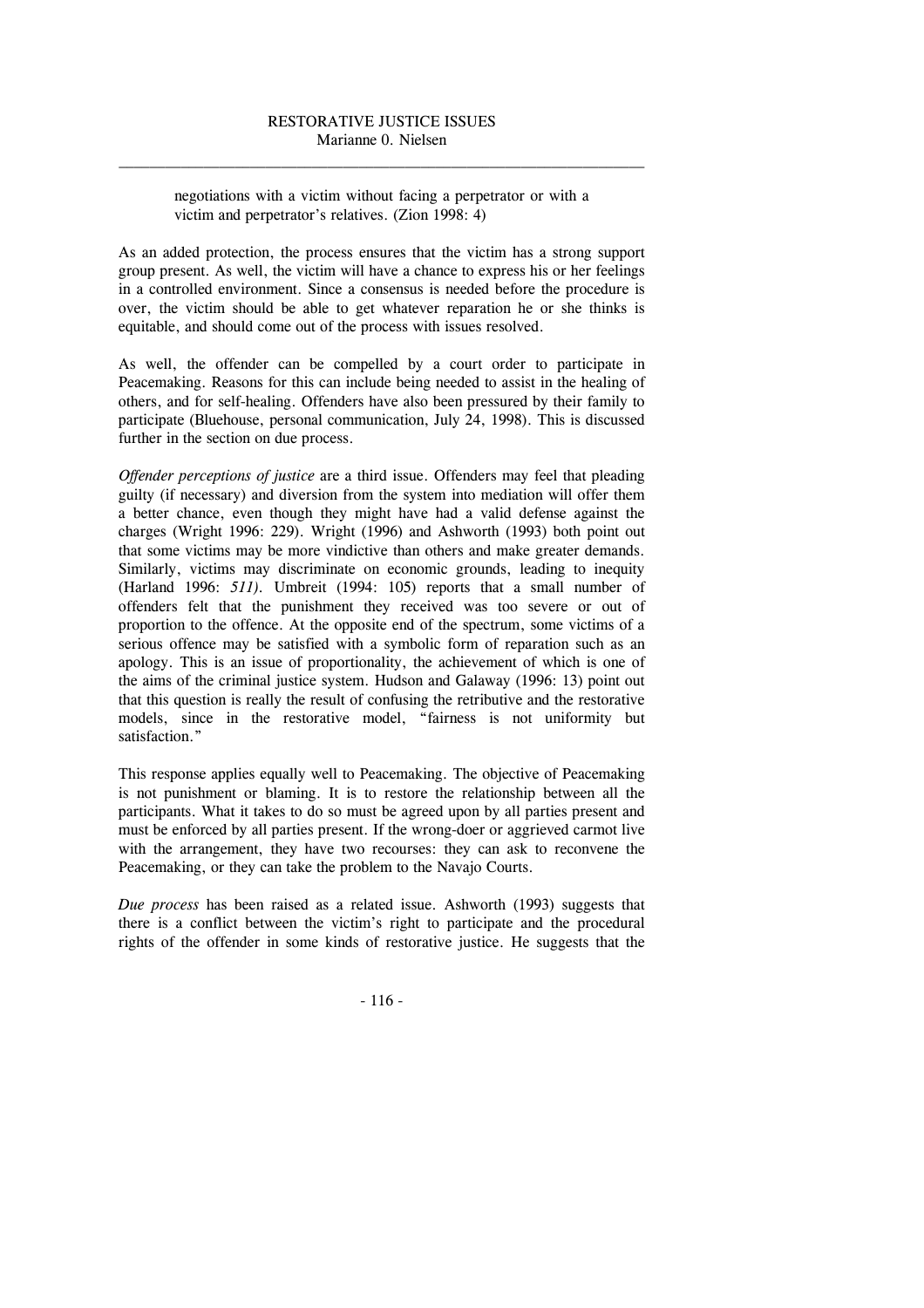negotiations with a victim without facing a perpetrator or with a victim and perpetrator's relatives. (Zion 1998: 4)

As an added protection, the process ensures that the victim has a strong support group present. As well, the victim will have a chance to express his or her feelings in a controlled environment. Since a consensus is needed before the procedure is over, the victim should be able to get whatever reparation he or she thinks is equitable, and should come out of the process with issues resolved.

As well, the offender can be compelled by a court order to participate in Peacemaking. Reasons for this can include being needed to assist in the healing of others, and for self-healing. Offenders have also been pressured by their family to participate (Bluehouse, personal communication, July 24, 1998). This is discussed further in the section on due process.

*Offender perceptions of justice* are a third issue. Offenders may feel that pleading guilty (if necessary) and diversion from the system into mediation will offer them a better chance, even though they might have had a valid defense against the charges (Wright 1996: 229). Wright (1996) and Ashworth (1993) both point out that some victims may be more vindictive than others and make greater demands. Similarly, victims may discriminate on economic grounds, leading to inequity (Harland 1996: *511).* Umbreit (1994: 105) reports that a small number of offenders felt that the punishment they received was too severe or out of proportion to the offence. At the opposite end of the spectrum, some victims of a serious offence may be satisfied with a symbolic form of reparation such as an apology. This is an issue of proportionality, the achievement of which is one of the aims of the criminal justice system. Hudson and Galaway (1996: 13) point out that this question is really the result of confusing the retributive and the restorative models, since in the restorative model, "fairness is not uniformity but satisfaction."

This response applies equally well to Peacemaking. The objective of Peacemaking is not punishment or blaming. It is to restore the relationship between all the participants. What it takes to do so must be agreed upon by all parties present and must be enforced by all parties present. If the wrong-doer or aggrieved carmot live with the arrangement, they have two recourses: they can ask to reconvene the Peacemaking, or they can take the problem to the Navajo Courts.

*Due process* has been raised as a related issue. Ashworth (1993) suggests that there is a conflict between the victim's right to participate and the procedural rights of the offender in some kinds of restorative justice. He suggests that the

- 116 -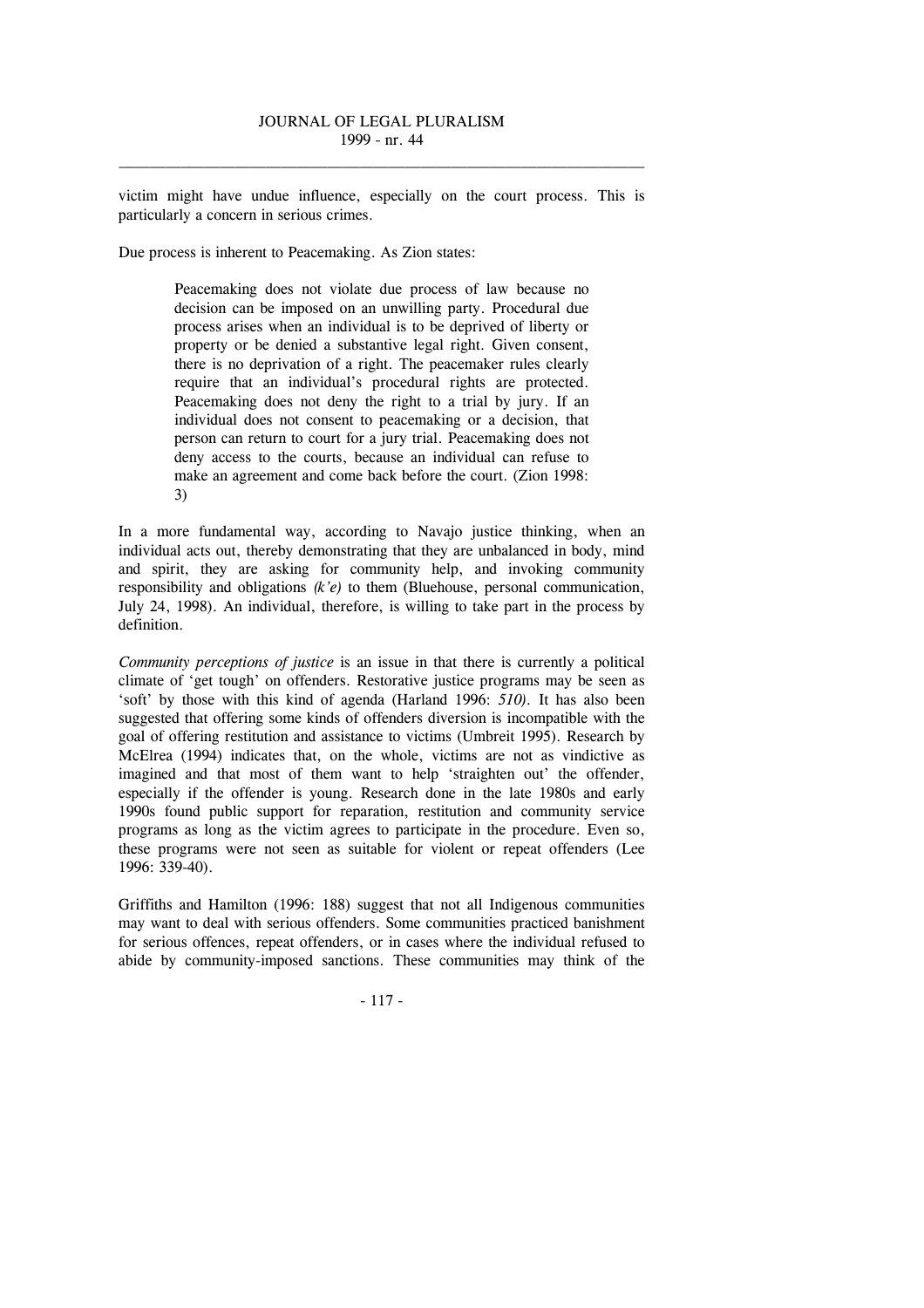victim might have undue influence, especially on the court process. This is particularly a concern in serious crimes.

Due process is inherent to Peacemaking. As Zion states:

Peacemaking does not violate due process of law because no decision can be imposed on an unwilling party. Procedural due process arises when an individual is to be deprived of liberty or property or be denied a substantive legal right. Given consent, there is no deprivation of a right. The peacemaker rules clearly require that an individual's procedural rights are protected. Peacemaking does not deny the right to a trial by jury. If an individual does not consent to peacemaking or a decision, that person can return to court for a jury trial. Peacemaking does not deny access to the courts, because an individual can refuse to make an agreement and come back before the court. (Zion 1998: 3)

In a more fundamental way, according to Navajo justice thinking, when an individual acts out, thereby demonstrating that they are unbalanced in body, mind and spirit, they are asking for community help, and invoking community responsibility and obligations *(k'e)* to them (Bluehouse, personal communication, July 24, 1998). An individual, therefore, is willing to take part in the process by definition.

*Community perceptions of justice* is an issue in that there is currently a political climate of 'get tough' on offenders. Restorative justice programs may be seen as 'soft' by those with this kind of agenda (Harland 1996: *510).* It has also been suggested that offering some kinds of offenders diversion is incompatible with the goal of offering restitution and assistance to victims (Umbreit 1995). Research by McElrea (1994) indicates that, on the whole, victims are not as vindictive as imagined and that most of them want to help 'straighten out' the offender, especially if the offender is young. Research done in the late 1980s and early 1990s found public support for reparation, restitution and community service programs as long as the victim agrees to participate in the procedure. Even so, these programs were not seen as suitable for violent or repeat offenders (Lee 1996: 339-40).

Griffiths and Hamilton (1996: 188) suggest that not all Indigenous communities may want to deal with serious offenders. Some communities practiced banishment for serious offences, repeat offenders, or in cases where the individual refused to abide by community-imposed sanctions. These communities may think of the

- 117 -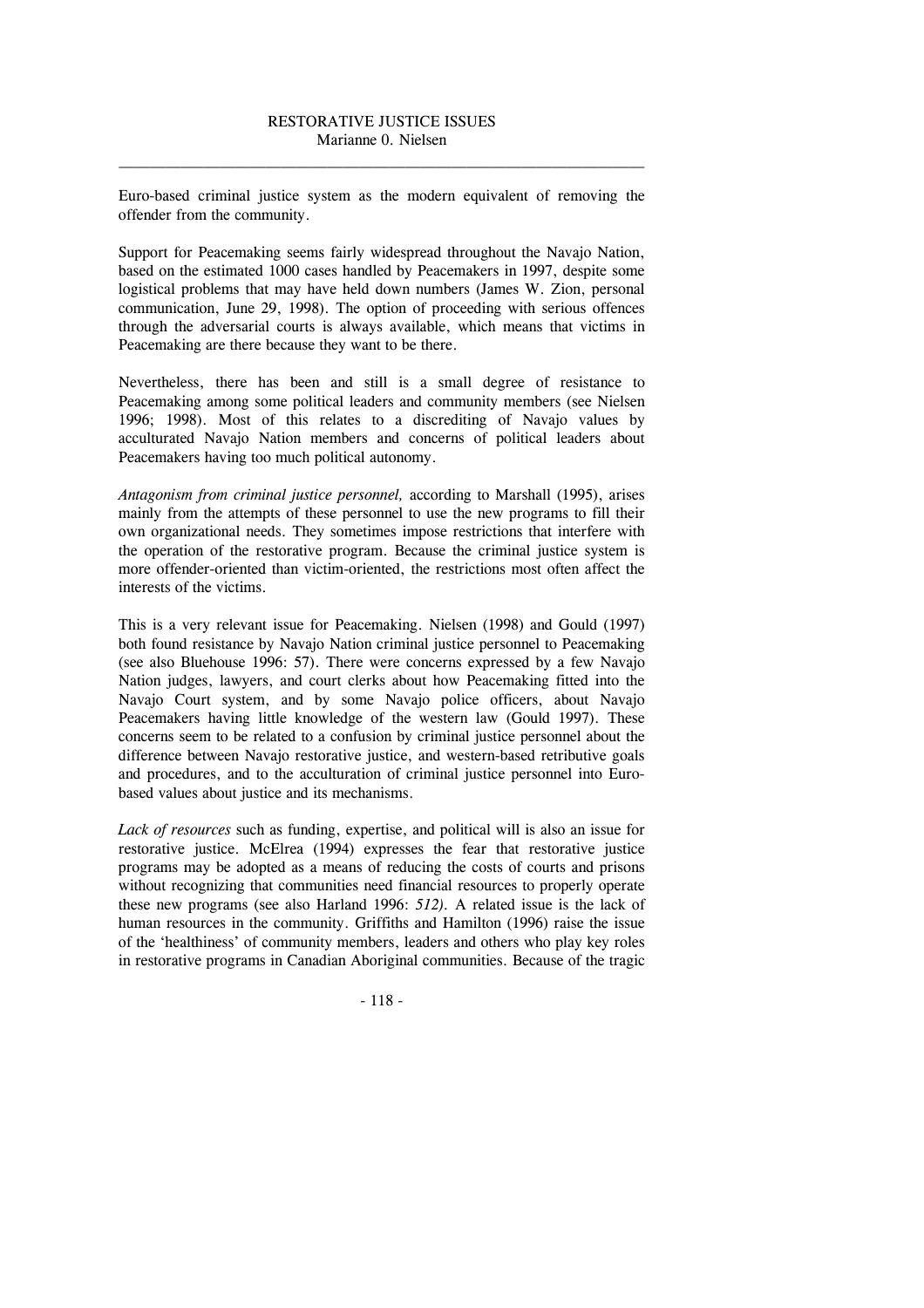Euro-based criminal justice system as the modern equivalent of removing the offender from the community.

Support for Peacemaking seems fairly widespread throughout the Navajo Nation, based on the estimated 1000 cases handled by Peacemakers in 1997, despite some logistical problems that may have held down numbers (James W. Zion, personal communication, June 29, 1998). The option of proceeding with serious offences through the adversarial courts is always available, which means that victims in Peacemaking are there because they want to be there.

Nevertheless, there has been and still is a small degree of resistance to Peacemaking among some political leaders and community members (see Nielsen 1996; 1998). Most of this relates to a discrediting of Navajo values by acculturated Navajo Nation members and concerns of political leaders about Peacemakers having too much political autonomy.

*Antagonism from criminal justice personnel,* according to Marshall (1995), arises mainly from the attempts of these personnel to use the new programs to fill their own organizational needs. They sometimes impose restrictions that interfere with the operation of the restorative program. Because the criminal justice system is more offender-oriented than victim-oriented, the restrictions most often affect the interests of the victims.

This is a very relevant issue for Peacemaking. Nielsen (1998) and Gould (1997) both found resistance by Navajo Nation criminal justice personnel to Peacemaking (see also Bluehouse 1996: 57). There were concerns expressed by a few Navajo Nation judges, lawyers, and court clerks about how Peacemaking fitted into the Navajo Court system, and by some Navajo police officers, about Navajo Peacemakers having little knowledge of the western law (Gould 1997). These concerns seem to be related to a confusion by criminal justice personnel about the difference between Navajo restorative justice, and western-based retributive goals and procedures, and to the acculturation of criminal justice personnel into Eurobased values about justice and its mechanisms.

*Lack of resources* such as funding, expertise, and political will is also an issue for restorative justice. McElrea (1994) expresses the fear that restorative justice programs may be adopted as a means of reducing the costs of courts and prisons without recognizing that communities need financial resources to properly operate these new programs (see also Harland 1996: *512).* A related issue is the lack of human resources in the community. Griffiths and Hamilton (1996) raise the issue of the 'healthiness' of community members, leaders and others who play key roles in restorative programs in Canadian Aboriginal communities. Because of the tragic

- 118 -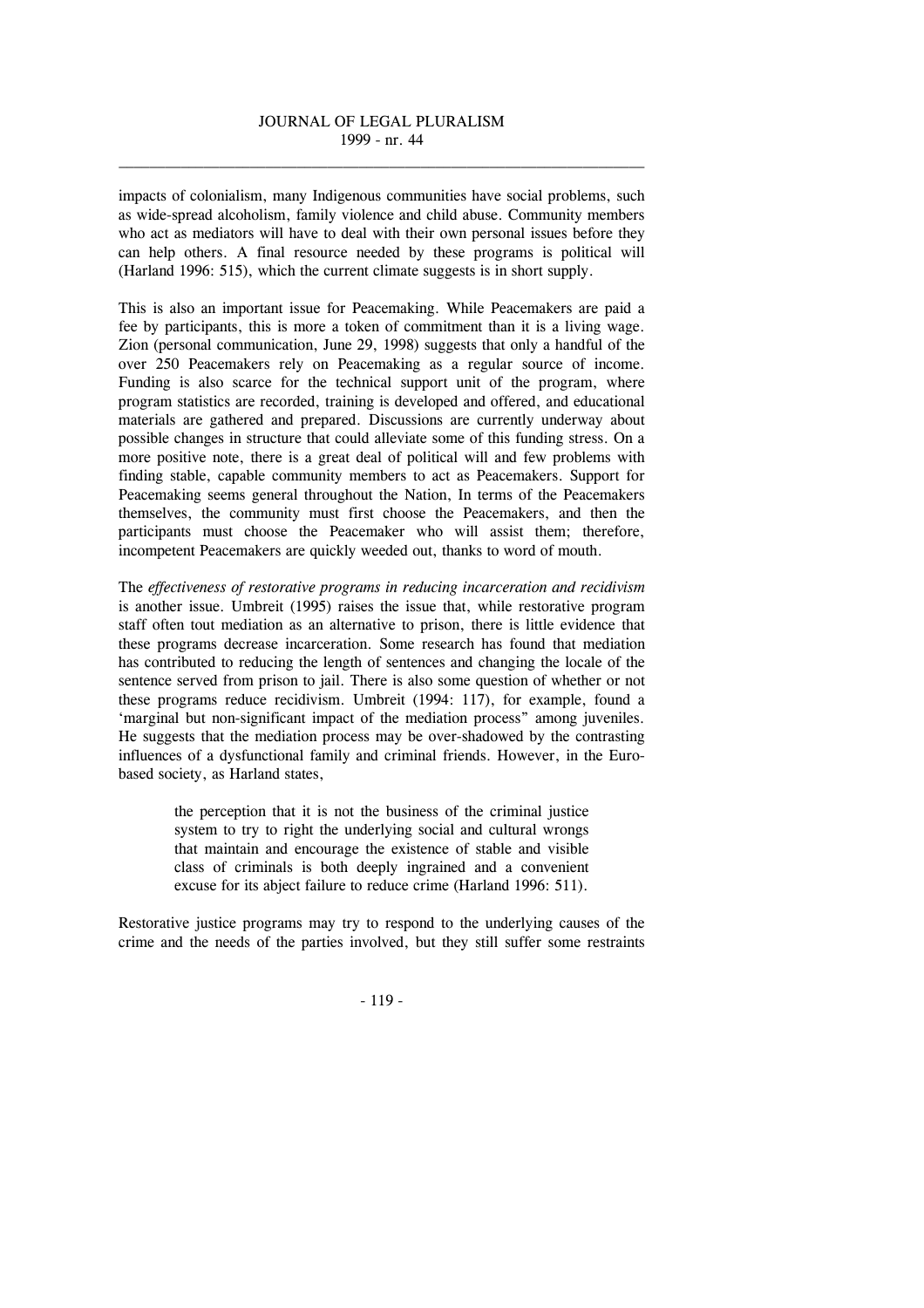impacts of colonialism, many Indigenous communities have social problems, such as wide-spread alcoholism, family violence and child abuse. Community members who act as mediators will have to deal with their own personal issues before they can help others. A final resource needed by these programs is political will (Harland 1996: 515), which the current climate suggests is in short supply.

This is also an important issue for Peacemaking. While Peacemakers are paid a fee by participants, this is more a token of commitment than it is a living wage. Zion (personal communication, June 29, 1998) suggests that only a handful of the over 250 Peacemakers rely on Peacemaking as a regular source of income. Funding is also scarce for the technical support unit of the program, where program statistics are recorded, training is developed and offered, and educational materials are gathered and prepared. Discussions are currently underway about possible changes in structure that could alleviate some of this funding stress. On a more positive note, there is a great deal of political will and few problems with finding stable, capable community members to act as Peacemakers. Support for Peacemaking seems general throughout the Nation, In terms of the Peacemakers themselves, the community must first choose the Peacemakers, and then the participants must choose the Peacemaker who will assist them; therefore, incompetent Peacemakers are quickly weeded out, thanks to word of mouth.

The *effectiveness of restorative programs in reducing incarceration and recidivism*  is another issue. Umbreit (1995) raises the issue that, while restorative program staff often tout mediation as an alternative to prison, there is little evidence that these programs decrease incarceration. Some research has found that mediation has contributed to reducing the length of sentences and changing the locale of the sentence served from prison to jail. There is also some question of whether or not these programs reduce recidivism. Umbreit (1994: 117), for example, found a 'marginal but non-significant impact of the mediation process" among juveniles. He suggests that the mediation process may be over-shadowed by the contrasting influences of a dysfunctional family and criminal friends. However, in the Eurobased society, as Harland states,

> the perception that it is not the business of the criminal justice system to try to right the underlying social and cultural wrongs that maintain and encourage the existence of stable and visible class of criminals is both deeply ingrained and a convenient excuse for its abject failure to reduce crime (Harland 1996: 511).

Restorative justice programs may try to respond to the underlying causes of the crime and the needs of the parties involved, but they still suffer some restraints

- 119 -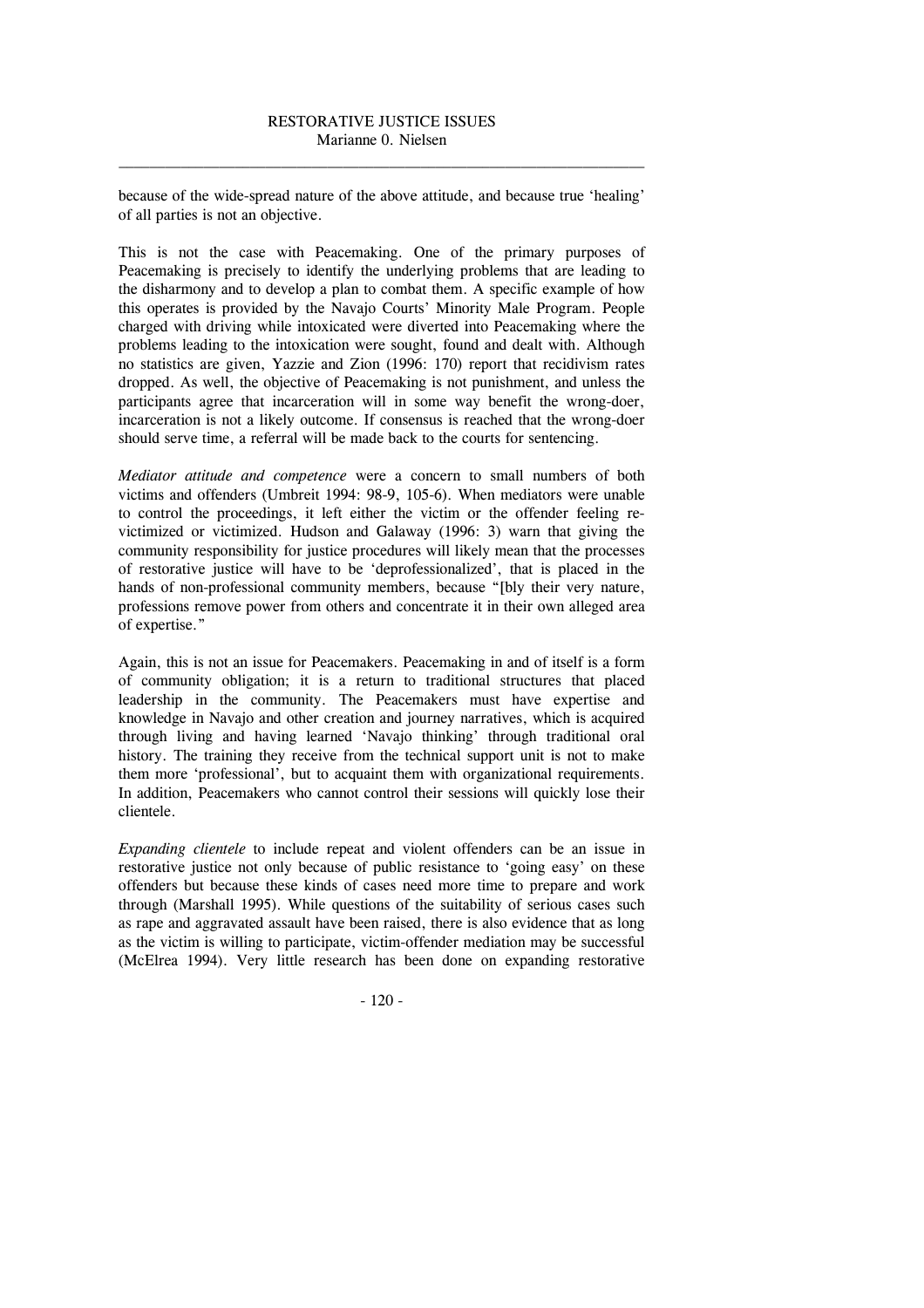because of the wide-spread nature of the above attitude, and because true 'healing' of all parties is not an objective.

This is not the case with Peacemaking. One of the primary purposes of Peacemaking is precisely to identify the underlying problems that are leading to the disharmony and to develop a plan to combat them. A specific example of how this operates is provided by the Navajo Courts' Minority Male Program. People charged with driving while intoxicated were diverted into Peacemaking where the problems leading to the intoxication were sought, found and dealt with. Although no statistics are given, Yazzie and Zion (1996: 170) report that recidivism rates dropped. As well, the objective of Peacemaking is not punishment, and unless the participants agree that incarceration will in some way benefit the wrong-doer, incarceration is not a likely outcome. If consensus is reached that the wrong-doer should serve time, a referral will be made back to the courts for sentencing.

*Mediator attitude and competence* were a concern to small numbers of both victims and offenders (Umbreit 1994: 98-9, 105-6). When mediators were unable to control the proceedings, it left either the victim or the offender feeling revictimized or victimized. Hudson and Galaway (1996: 3) warn that giving the community responsibility for justice procedures will likely mean that the processes of restorative justice will have to be 'deprofessionalized', that is placed in the hands of non-professional community members, because "[bly their very nature, professions remove power from others and concentrate it in their own alleged area of expertise."

Again, this is not an issue for Peacemakers. Peacemaking in and of itself is a form of community obligation; it is a return to traditional structures that placed leadership in the community. The Peacemakers must have expertise and knowledge in Navajo and other creation and journey narratives, which is acquired through living and having learned 'Navajo thinking' through traditional oral history. The training they receive from the technical support unit is not to make them more 'professional', but to acquaint them with organizational requirements. In addition, Peacemakers who cannot control their sessions will quickly lose their clientele.

*Expanding clientele* to include repeat and violent offenders can be an issue in restorative justice not only because of public resistance to 'going easy' on these offenders but because these kinds of cases need more time to prepare and work through (Marshall 1995). While questions of the suitability of serious cases such as rape and aggravated assault have been raised, there is also evidence that as long as the victim is willing to participate, victim-offender mediation may be successful (McElrea 1994). Very little research has been done on expanding restorative

- 120 -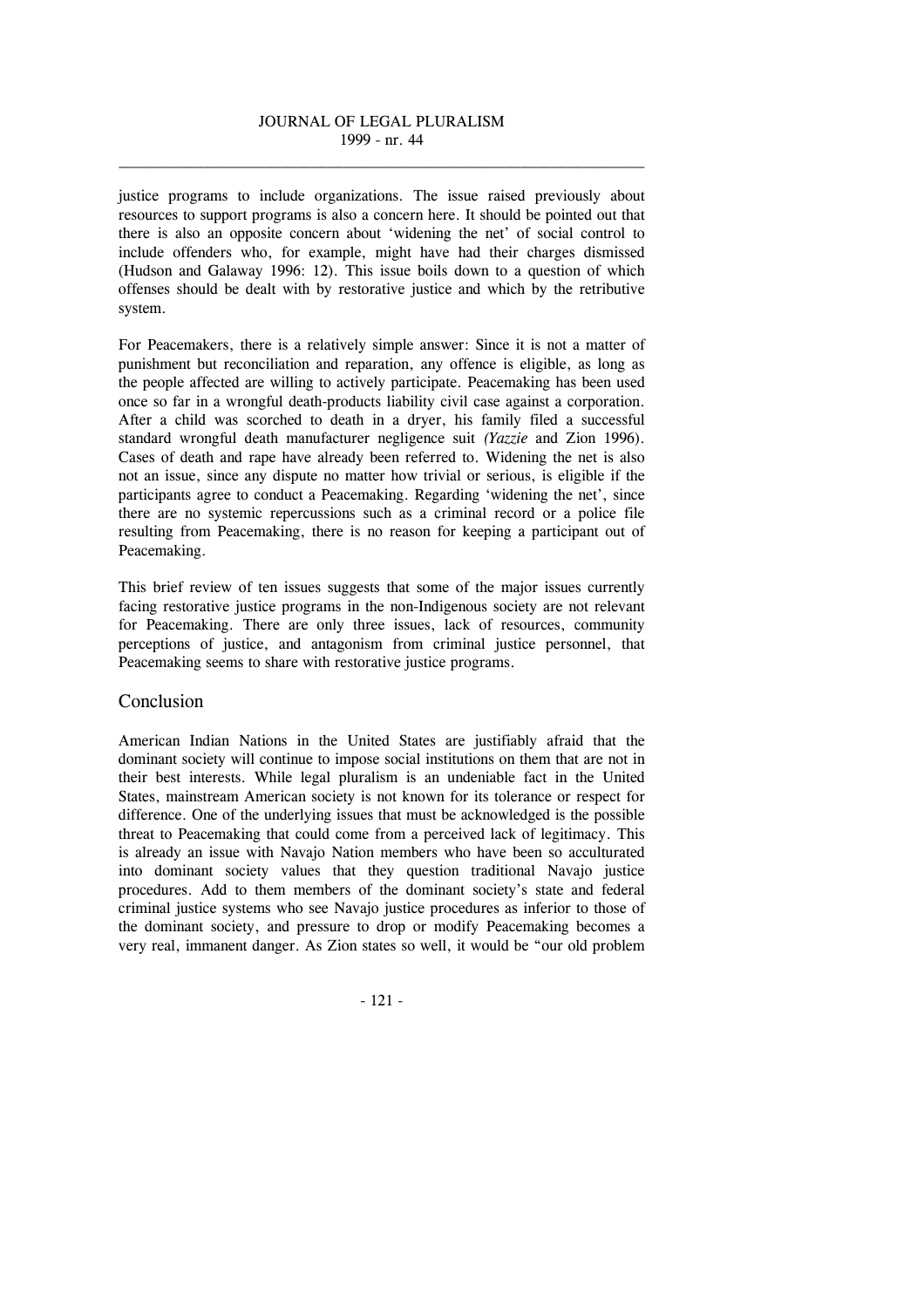justice programs to include organizations. The issue raised previously about resources to support programs is also a concern here. It should be pointed out that there is also an opposite concern about 'widening the net' of social control to include offenders who, for example, might have had their charges dismissed (Hudson and Galaway 1996: 12). This issue boils down to a question of which offenses should be dealt with by restorative justice and which by the retributive system.

For Peacemakers, there is a relatively simple answer: Since it is not a matter of punishment but reconciliation and reparation, any offence is eligible, as long as the people affected are willing to actively participate. Peacemaking has been used once so far in a wrongful death-products liability civil case against a corporation. After a child was scorched to death in a dryer, his family filed a successful standard wrongful death manufacturer negligence suit *(Yazzie* and Zion 1996). Cases of death and rape have already been referred to. Widening the net is also not an issue, since any dispute no matter how trivial or serious, is eligible if the participants agree to conduct a Peacemaking. Regarding 'widening the net', since there are no systemic repercussions such as a criminal record or a police file resulting from Peacemaking, there is no reason for keeping a participant out of Peacemaking.

This brief review of ten issues suggests that some of the major issues currently facing restorative justice programs in the non-Indigenous society are not relevant for Peacemaking. There are only three issues, lack of resources, community perceptions of justice, and antagonism from criminal justice personnel, that Peacemaking seems to share with restorative justice programs.

#### Conclusion

American Indian Nations in the United States are justifiably afraid that the dominant society will continue to impose social institutions on them that are not in their best interests. While legal pluralism is an undeniable fact in the United States, mainstream American society is not known for its tolerance or respect for difference. One of the underlying issues that must be acknowledged is the possible threat to Peacemaking that could come from a perceived lack of legitimacy. This is already an issue with Navajo Nation members who have been so acculturated into dominant society values that they question traditional Navajo justice procedures. Add to them members of the dominant society's state and federal criminal justice systems who see Navajo justice procedures as inferior to those of the dominant society, and pressure to drop or modify Peacemaking becomes a very real, immanent danger. As Zion states so well, it would be "our old problem

- 121 -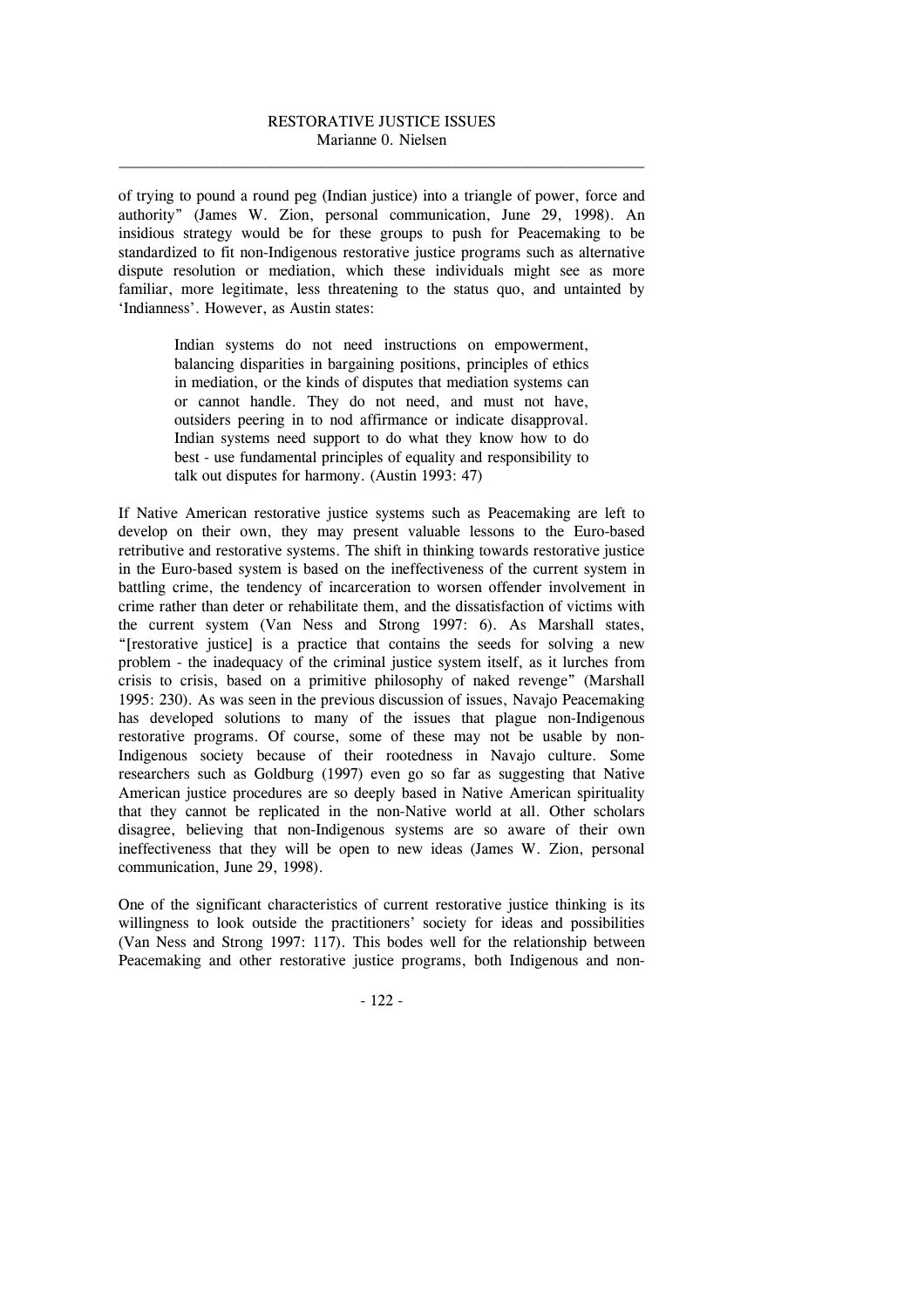of trying to pound a round peg (Indian justice) into a triangle of power, force and authority" (James W. Zion, personal communication, June 29, 1998). An insidious strategy would be for these groups to push for Peacemaking to be standardized to fit non-Indigenous restorative justice programs such as alternative dispute resolution or mediation, which these individuals might see as more familiar, more legitimate, less threatening to the status quo, and untainted by 'Indianness'. However, as Austin states:

> Indian systems do not need instructions on empowerment, balancing disparities in bargaining positions, principles of ethics in mediation, or the kinds of disputes that mediation systems can or cannot handle. They do not need, and must not have, outsiders peering in to nod affirmance or indicate disapproval. Indian systems need support to do what they know how to do best - use fundamental principles of equality and responsibility to talk out disputes for harmony. (Austin 1993: 47)

If Native American restorative justice systems such as Peacemaking are left to develop on their own, they may present valuable lessons to the Euro-based retributive and restorative systems. The shift in thinking towards restorative justice in the Euro-based system is based on the ineffectiveness of the current system in battling crime, the tendency of incarceration to worsen offender involvement in crime rather than deter or rehabilitate them, and the dissatisfaction of victims with the current system (Van Ness and Strong 1997: 6). As Marshall states, "[restorative justice] is a practice that contains the seeds for solving a new problem - the inadequacy of the criminal justice system itself, as it lurches from crisis to crisis, based on a primitive philosophy of naked revenge" (Marshall 1995: 230). As was seen in the previous discussion of issues, Navajo Peacemaking has developed solutions to many of the issues that plague non-Indigenous restorative programs. Of course, some of these may not be usable by non-Indigenous society because of their rootedness in Navajo culture. Some researchers such as Goldburg (1997) even go so far as suggesting that Native American justice procedures are so deeply based in Native American spirituality that they cannot be replicated in the non-Native world at all. Other scholars disagree, believing that non-Indigenous systems are so aware of their own ineffectiveness that they will be open to new ideas (James W. Zion, personal communication, June 29, 1998).

One of the significant characteristics of current restorative justice thinking is its willingness to look outside the practitioners' society for ideas and possibilities (Van Ness and Strong 1997: 117). This bodes well for the relationship between Peacemaking and other restorative justice programs, both Indigenous and non-

- 122 -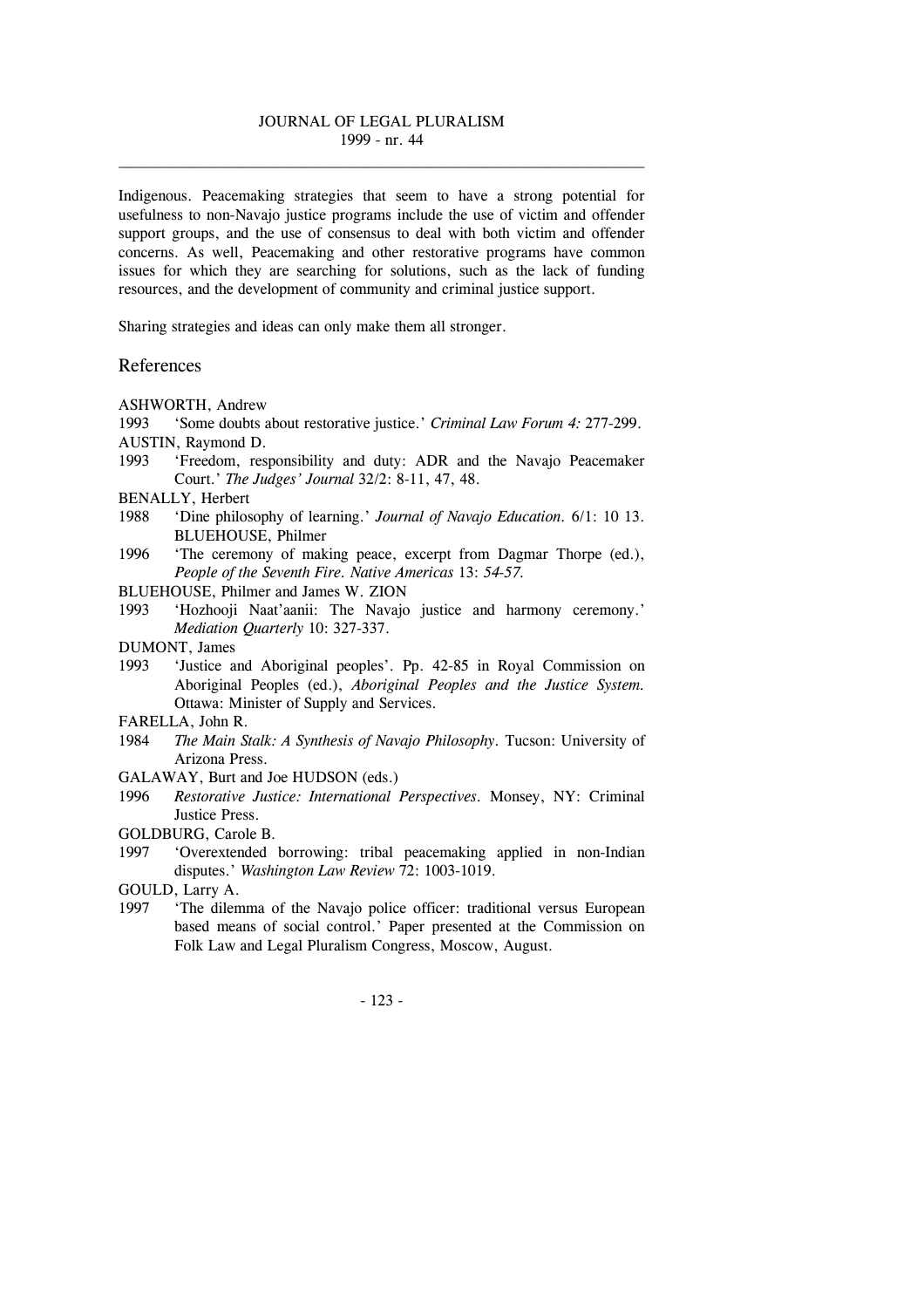Indigenous. Peacemaking strategies that seem to have a strong potential for usefulness to non-Navajo justice programs include the use of victim and offender support groups, and the use of consensus to deal with both victim and offender concerns. As well, Peacemaking and other restorative programs have common issues for which they are searching for solutions, such as the lack of funding resources, and the development of community and criminal justice support.

Sharing strategies and ideas can only make them all stronger.

#### References

ASHWORTH, Andrew

- 1993 'Some doubts about restorative justice.' *Criminal Law Forum 4:* 277-299. AUSTIN, Raymond D.
- 1993 'Freedom, responsibility and duty: ADR and the Navajo Peacemaker Court.' *The Judges' Journal* 32/2: 8-11, 47, 48.
- BENALLY, Herbert
- 1988 'Dine philosophy of learning.' *Journal of Navajo Education.* 6/1: 10 13. BLUEHOUSE, Philmer
- 1996 'The ceremony of making peace, excerpt from Dagmar Thorpe (ed.), *People of the Seventh Fire. Native Americas* 13: *54-57.*
- BLUEHOUSE, Philmer and James W. ZION
- 1993 'Hozhooji Naat'aanii: The Navajo justice and harmony ceremony.' *Mediation Quarterly* 10: 327-337.
- DUMONT, James
- 1993 'Justice and Aboriginal peoples'. Pp. 42-85 in Royal Commission on Aboriginal Peoples (ed.), *Aboriginal Peoples and the Justice System.*  Ottawa: Minister of Supply and Services.
- FARELLA, John R.
- 1984 *The Main Stalk: A Synthesis of Navajo Philosophy.* Tucson: University of Arizona Press.
- GALAWAY, Burt and Joe HUDSON (eds.)
- 1996 *Restorative Justice: International Perspectives.* Monsey, NY: Criminal Justice Press.
- GOLDBURG, Carole B.
- 1997 'Overextended borrowing: tribal peacemaking applied in non-Indian disputes.' *Washington Law Review* 72: 1003-1019.
- GOULD, Larry A.
- 1997 'The dilemma of the Navajo police officer: traditional versus European based means of social control.' Paper presented at the Commission on Folk Law and Legal Pluralism Congress, Moscow, August.
	- 123 -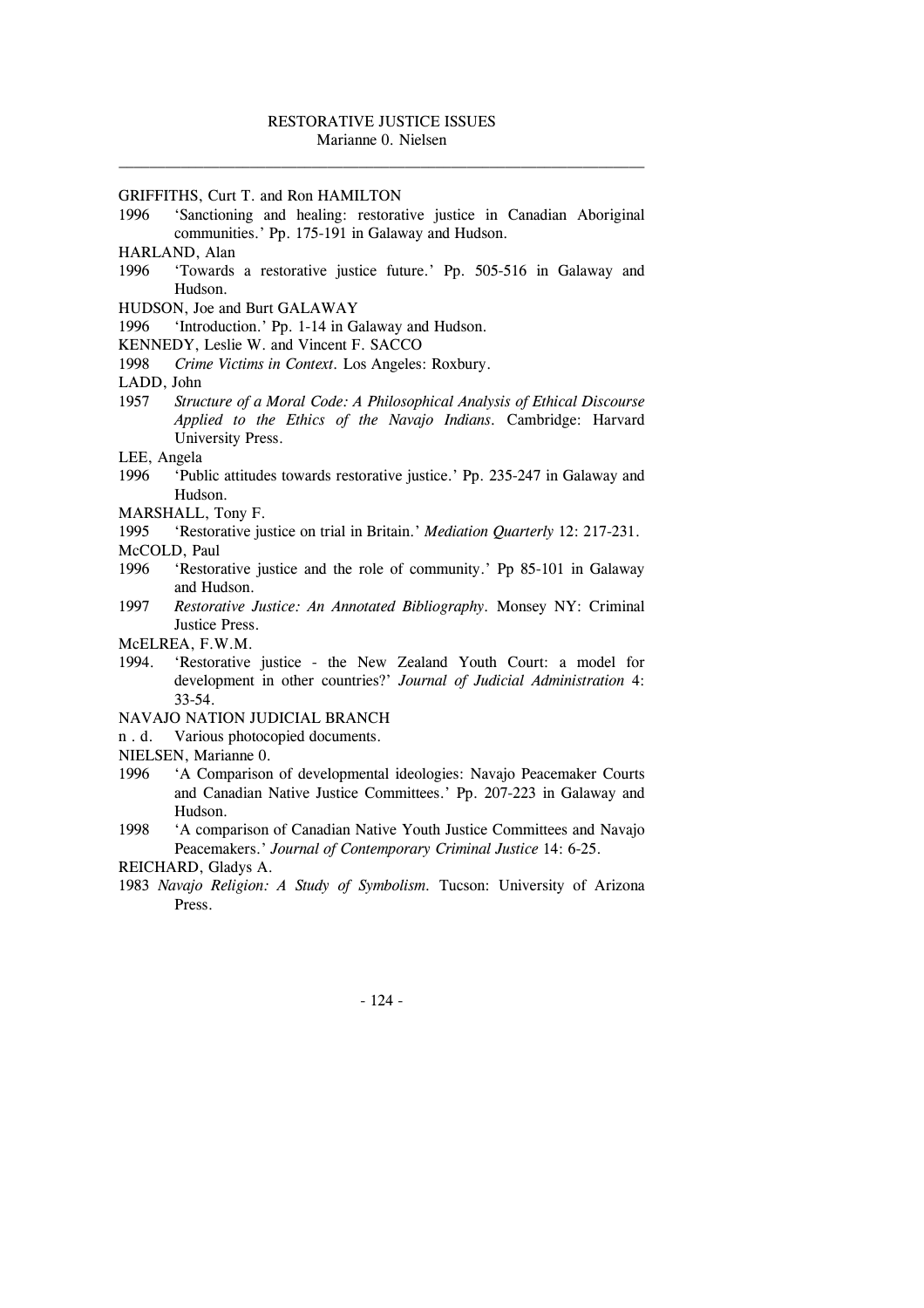#### GRIFFITHS, Curt T. and Ron HAMILTON

1996 'Sanctioning and healing: restorative justice in Canadian Aboriginal communities.' Pp. 175-191 in Galaway and Hudson.

HARLAND, Alan

- 1996 'Towards a restorative justice future.' Pp. 505-516 in Galaway and Hudson.
- HUDSON, Joe and Burt GALAWAY
- 1996 'Introduction.' Pp. 1-14 in Galaway and Hudson.
- KENNEDY, Leslie W. and Vincent F. SACCO
- 1998 *Crime Victims in Context.* Los Angeles: Roxbury.
- LADD, John
- 1957 *Structure of a Moral Code: A Philosophical Analysis of Ethical Discourse Applied to the Ethics of the Navajo Indians.* Cambridge: Harvard University Press.

#### LEE, Angela

- 1996 'Public attitudes towards restorative justice.' Pp. 235-247 in Galaway and Hudson.
- MARSHALL, Tony F.
- 1995 'Restorative justice on trial in Britain.' *Mediation Quarterly* 12: 217-231.
- McCOLD, Paul
- 1996 'Restorative justice and the role of community.' Pp 85-101 in Galaway and Hudson.
- 1997 *Restorative Justice: An Annotated Bibliography.* Monsey NY: Criminal Justice Press.

McELREA, F.W.M.

- 1994. 'Restorative justice the New Zealand Youth Court: a model for development in other countries?' *Journal of Judicial Administration* 4: 33-54.
- NAVAJO NATION JUDICIAL BRANCH
- n . d. Various photocopied documents.
- NIELSEN, Marianne 0.
- 1996 'A Comparison of developmental ideologies: Navajo Peacemaker Courts and Canadian Native Justice Committees.' Pp. 207-223 in Galaway and Hudson.
- 1998 'A comparison of Canadian Native Youth Justice Committees and Navajo Peacemakers.' *Journal of Contemporary Criminal Justice* 14: 6-25.

REICHARD, Gladys A.

1983 *Navajo Religion: A Study of Symbolism.* Tucson: University of Arizona Press.

- 124 -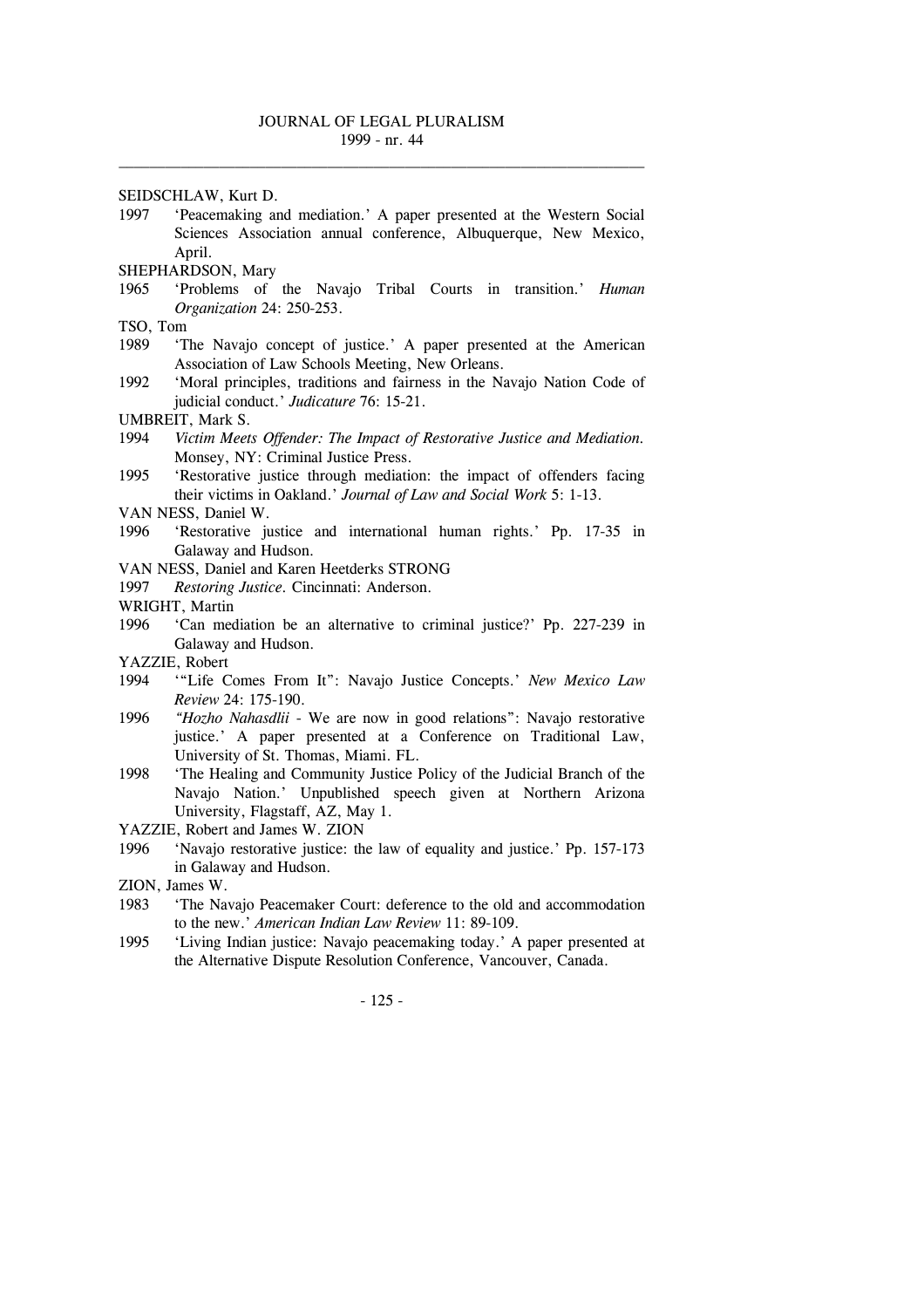1997 'Peacemaking and mediation.' A paper presented at the Western Social

Sciences Association annual conference, Albuquerque, New Mexico,

SEIDSCHLAW, Kurt D.

April. SHEPHARDSON, Mary

<sup>- 125 -</sup>  1965 'Problems of the Navajo Tribal Courts in transition.' *Human Organization* 24: 250-253. TSO, Tom 1989 'The Navajo concept of justice.' A paper presented at the American Association of Law Schools Meeting, New Orleans. 1992 'Moral principles, traditions and fairness in the Navajo Nation Code of judicial conduct.' *Judicature* 76: 15-21. UMBREIT, Mark S. 1994 *Victim Meets Offender: The Impact of Restorative Justice and Mediation.*  Monsey, NY: Criminal Justice Press. 1995 'Restorative justice through mediation: the impact of offenders facing their victims in Oakland.' *Journal of Law and Social Work* 5: 1-13. VAN NESS, Daniel W. 1996 'Restorative justice and international human rights.' Pp. 17-35 in Galaway and Hudson. VAN NESS, Daniel and Karen Heetderks STRONG 1997 *Restoring Justice.* Cincinnati: Anderson. WRIGHT, Martin 1996 'Can mediation be an alternative to criminal justice?' Pp. 227-239 in Galaway and Hudson. YAZZIE, Robert 1994 '"Life Comes From It": Navajo Justice Concepts.' *New Mexico Law Review* 24: 175-190. 1996 *"Hozho Nahasdlii* - We are now in good relations": Navajo restorative justice.' A paper presented at a Conference on Traditional Law, University of St. Thomas, Miami. FL. 1998 'The Healing and Community Justice Policy of the Judicial Branch of the Navajo Nation.' Unpublished speech given at Northern Arizona University, Flagstaff, AZ, May 1. YAZZIE, Robert and James W. ZION 1996 'Navajo restorative justice: the law of equality and justice.' Pp. 157-173 in Galaway and Hudson. ZION, James W. 1983 'The Navajo Peacemaker Court: deference to the old and accommodation to the new.' *American Indian Law Review* 11: 89-109. 1995 'Living Indian justice: Navajo peacemaking today.' A paper presented at the Alternative Dispute Resolution Conference, Vancouver, Canada.